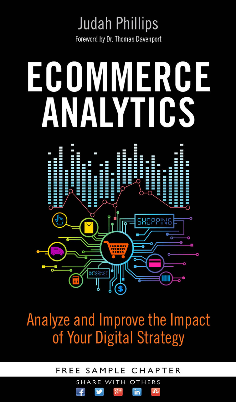# **Judah Phillips**

Foreword by Dr. Thomas Davenport

# ECOMMERCE ANALYTICS



Analyze and Improve the Impact of Your Digital Strategy

> FREE SAMPLE CHAPTER OTHERS

> > in.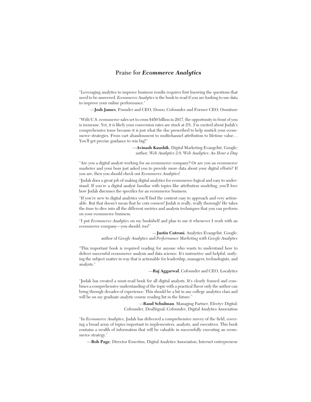#### Praise for *Ecommerce Analytics*

"Leveraging analytics to improve business results requires first knowing the questions that need to be answered. *Ecommerce Analytics* is the book to read if you are looking to use data to improve your online performance."

—**Josh James**, Founder and CEO, Domo; Cofounder and Former CEO, Omniture

"With U.S. ecommerce sales set to cross \$450 billion in 2017, the opportunity in front of you is immense. Yet, it is likely your conversion rates are stuck at 2%. I'm excited about Judah's comprehensive tome because it is just what the doc prescribed to help unstick your ecommerce strategies. From cart abandonment to multichannel attribution to lifetime value… You'll get precise guidance to win big!"

> —**Avinash Kaushik**, Digital Marketing Evangelist, Google; author, *Web Analytics 2.0, Web Analytics: An Hour a Day*

"Are you a digital analyst working for an ecommerce company? Or are you an ecommerce marketer and your boss just asked you to provide more data about your digital efforts? If you are, then you should check out *Ecommerce Analytics*!

"Judah does a great job of making digital analytics for ecommerce logical and easy to understand. If you're a digital analyst familiar with topics like attribution modeling, you'll love how Judah discusses the specifics for an ecommerce business.

"If you're new to digital analytics you'll find the content easy to approach and very actionable. But that doesn't mean that he cuts corners! Judah is really, really thorough! He takes the time to dive into all the different metrics and analysis techniques that you can perform on your ecommerce business.

"I put *Ecommerce Analytics* on my bookshelf and plan to use it whenever I work with an ecommerce company—you should, too!"

> —**Justin Cutroni**, Analytics Evangelist, Google; author of *Google Analytics* and *Performance Marketing with Google Analytics*

"This important book is required reading for anyone who wants to understand how to deliver successful ecommerce analysis and data science. It's instructive and helpful, unifying the subject matter in way that is actionable for leadership, managers, technologists, and analysts."

—**Raj Aggarwal**, Cofounder and CEO, Localytics

"Judah has created a must-read book for all digital analysts. It's clearly framed and combines a comprehensive understanding of the topic with a practical flavor only the author can bring through decades of experience. This should be a hit in any college analytics class and will be on my graduate analytic course reading list in the future."

> —**Rand Schulman**, Managing Partner, Efectyv Digital; Cofounder, DealSignal; Cofounder, Digital Analytics Association

"In *Ecommerce Analytics*, Judah has delivered a comprehensive survey of the field, covering a broad array of topics important to implementers, analysts, and executives. This book contains a wealth of information that will be valuable in successfully executing an ecommerce strategy."

—**Bob Page**, Director Emeritus, Digital Analytics Association; Internet entrepreneur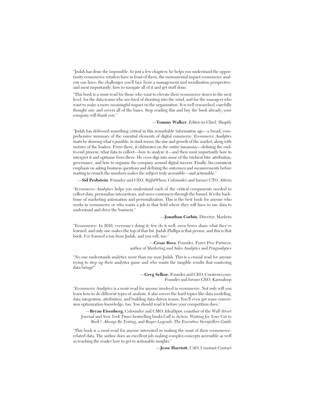"Judah has done the impossible. In just a few chapters, he helps you understand the opportunity ecommerce retailers have in front of them, the monumental impact ecommerce analysis can have, the challenges you'll face from a management and socialization perspective, and most importantly, how to navigate all of it and get stuff done.

"This book is a must-read for those who want to elevate their ecommerce stores to the next level, for the data teams who are tired of shouting into the wind, and for the managers who want to make a more meaningful impact on the organization. It is well researched, carefully thought out, and covers all of the bases. Stop reading this and buy the book already; your company will thank you."

#### —**Tommy Walker**, Editor-in-Chief, Shopify

"Judah has delivered something critical in this remarkable information age—a broad, comprehensive summary of the essential elements of digital commerce. *Ecommerce Analytics* starts by showing what's possible, in stark terms: the size and growth of the market, along with metrics of the leaders. From there, it elaborates on the entire taxonomy—defining the endto-end process, what data to collect—how to analyze it—and then most importantly how to interpret it and optimize from there. He even digs into some of the trickiest bits: attribution, governance, and how to organize the company around digital success. Finally, his consistent emphasis on asking business questions and defining the outcomes and measurements before starting to crunch the numbers makes the subject truly accessible—and actionable."

—**Sid Probstein**, Founder and CEO, RightWhen; Cofounder and former CTO, Attivio

"*Ecommerce Analytics* helps you understand each of the critical components needed to collect data, personalize interactions, and move customers through the funnel. It's the backbone of marketing automation and personalization. This is the best book for anyone who works in ecommerce or who wants a job in that field where they will have to use data to understand and drive the business."

#### —**Jonathan Corbin**, Director, Marketo

"Ecommerce: In 2016, everyone's doing it; few do it well; even fewer share what they've learned, and only one makes the top of that list. Judah Phillips is that person, and this is that book. I've learned a ton from Judah, and you will, too."

> —**Cesar Brea**, Founder, Force Five Partners; author of *Marketing and Sales Analytics* and *Pragmalytics*

"No one understands analytics more than my man Judah. This is a crucial read for anyone trying to step up their analytics game and who wants the tangible results that mastering data brings!"

> —**Greg Selkoe**, Founder and CEO, [Curateurs.com;](http://www.Curateurs.com) Founder and former CEO, Karmaloop

"*Ecommerce Analytics* is a must-read for anyone involved in ecommerce. Not only will you learn how to do different types of analysis, it also covers the hard topics like data modeling, data integration, attribution, and building data-driven teams. You'll even get some conversion optimization knowledge, too. You should read it before your competition does."

—**Bryan Eisenberg**, Cofounder and CMO, IdealSpot; coauthor of the *Wall Street Journal* and *New York Times* bestselling books *Call to Action*, *Waiting for Your Cat to Bark?*, *Always Be Testing*, and *Buyer Legends: The Executive Storytellers Guide*

"This book is a must-read for anyone interested in making the most of their ecommercerelated data. The author does an excellent job making complex concepts accessible as well as teaching the reader how to get to actionable insights."

—**Jesse Harriott**, CAO, Constant Contact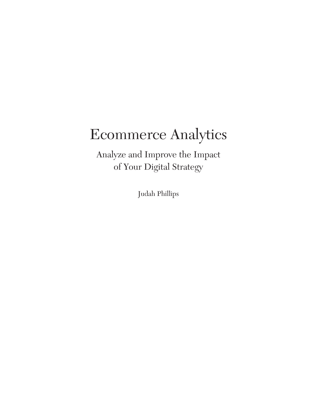# Ecommerce Analytics

## Analyze and Improve the Impact of Your Digital Strategy

Judah Phillips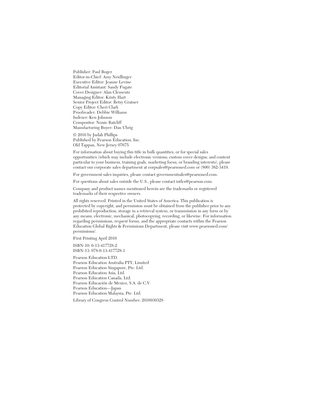Publisher: Paul Boger Editor-in-Chief: Amy Neidlinger Executive Editor: Jeanne Levine Editorial Assistant: Sandy Fugate Cover Designer: Alan Clements Managing Editor: Kristy Hart Senior Project Editor: Betsy Gratner Copy Editor: Cheri Clark Proofreader: Debbie Williams Indexer: Ken Johnson Compositor: Nonie Ratcliff Manufacturing Buyer: Dan Uhrig

© 2016 by Judah Phillips Published by Pearson Education, Inc. Old Tappan, New Jersey 07675

For information about buying this title in bulk quantities, or for special sales opportunities (which may include electronic versions; custom cover designs; and content particular to your business, training goals, marketing focus, or branding interests), please contact our corporate sales department at corpsales@pearsoned.com or (800) 382-3419.

For government sales inquiries, please contact governmentsales@pearsoned.com.

For questions about sales outside the U.S., please contact intlcs@pearson.com.

Company and product names mentioned herein are the trademarks or registered trademarks of their respective owners.

All rights reserved. Printed in the United States of America. This publication is protected by copyright, and permission must be obtained from the publisher prior to any prohibited reproduction, storage in a retrieval system, or transmission in any form or by any means, electronic, mechanical, photocopying, recording, or likewise. For information regarding permissions, request forms, and the appropriate contacts within the Pearson Education Global Rights & Permissions Department, please visit [www.pearsoned.com/](http://www.pearsoned.com/permissions/) [permissions/.](http://www.pearsoned.com/permissions/)

First Printing April 2016

ISBN-10: 0-13-417728-2 ISBN-13: 978-0-13-417728-1

Pearson Education LTD. Pearson Education Australia PTY, Limited Pearson Education Singapore, Pte. Ltd. Pearson Education Asia, Ltd. Pearson Education Canada, Ltd. Pearson Educación de Mexico, S.A. de C.V. Pearson Education—Japan Pearson Education Malaysia, Pte. Ltd.

Library of Congress Control Number: 2016930328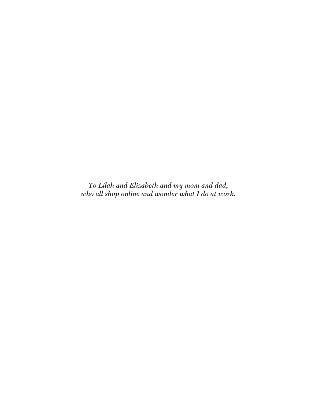*To Lilah and Elizabeth and my mom and dad, who all shop online and wonder what I do at work.*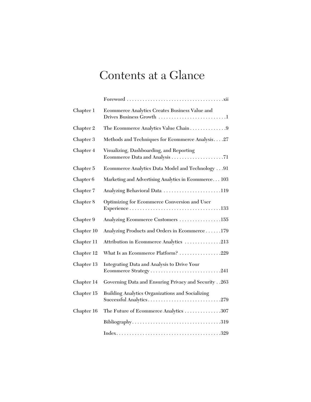## Contents at a Glance

| Chapter 1            | Ecommerce Analytics Creates Business Value and<br>Drives Business Growth 1         |
|----------------------|------------------------------------------------------------------------------------|
| Chapter 2            | The Ecommerce Analytics Value Chain9                                               |
| Chapter 3            | Methods and Techniques for Ecommerce Analysis27                                    |
| Chapter 4            | Visualizing, Dashboarding, and Reporting                                           |
| Chapter 5            | Ecommerce Analytics Data Model and Technology 91                                   |
| Chapter <sub>6</sub> | Marketing and Advertising Analytics in Ecommerce 103                               |
| Chapter 7            | Analyzing Behavioral Data 119                                                      |
| Chapter 8            | Optimizing for Ecommerce Conversion and User                                       |
| Chapter 9            | Analyzing Ecommerce Customers 155                                                  |
| Chapter 10           | Analyzing Products and Orders in Ecommerce179                                      |
| Chapter 11           | Attribution in Ecommerce Analytics 213                                             |
| Chapter 12           | What Is an Ecommerce Platform? 229                                                 |
| Chapter 13           | Integrating Data and Analysis to Drive Your<br>Ecommerce Strategy241               |
| Chapter 14           | Governing Data and Ensuring Privacy and Security 263                               |
| Chapter 15           | <b>Building Analytics Organizations and Socializing</b><br>Successful Analytics279 |
| Chapter 16           | The Future of Ecommerce Analytics 307                                              |
|                      |                                                                                    |
|                      |                                                                                    |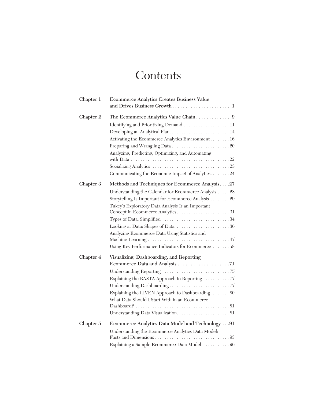## **Contents**

<span id="page-7-0"></span>

| Chapter 1 | <b>Ecommerce Analytics Creates Business Value</b><br>and Drives Business Growth1                                                                                                                                                                                                                                                                              |
|-----------|---------------------------------------------------------------------------------------------------------------------------------------------------------------------------------------------------------------------------------------------------------------------------------------------------------------------------------------------------------------|
| Chapter 2 | The Ecommerce Analytics Value Chain9<br>Identifying and Prioritizing Demand 11<br>Activating the Ecommerce Analytics Environment 16<br>Analyzing, Predicting, Optimizing, and Automating<br>Communicating the Economic Impact of Analytics. 24                                                                                                                |
| Chapter 3 | Methods and Techniques for Ecommerce Analysis27<br>Understanding the Calendar for Ecommerce Analysis 28<br>Storytelling Is Important for Ecommerce Analysis 29<br>Tukey's Exploratory Data Analysis Is an Important<br>Concept in Ecommerce Analytics31<br>Analyzing Ecommerce Data Using Statistics and<br>Using Key Performance Indicators for Ecommerce 58 |
| Chapter 4 | Visualizing, Dashboarding, and Reporting<br>Explaining the RASTA Approach to Reporting 77<br>Understanding Dashboarding77<br>Explaining the LIVEN Approach to Dashboarding80<br>What Data Should I Start With in an Ecommerce                                                                                                                                 |
| Chapter 5 | Ecommerce Analytics Data Model and Technology 91<br>Understanding the Ecommerce Analytics Data Model:<br>Explaining a Sample Ecommerce Data Model  96                                                                                                                                                                                                         |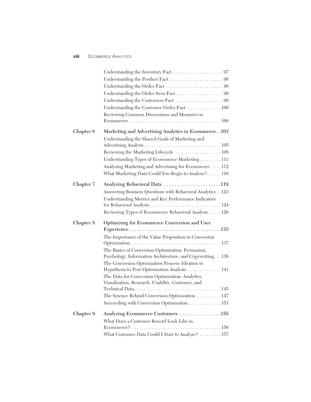|           | Understanding the Order Item Fact99                                                                   |
|-----------|-------------------------------------------------------------------------------------------------------|
|           |                                                                                                       |
|           | Understanding the Customer Order Fact  100                                                            |
|           | Reviewing Common Dimensions and Measures in                                                           |
|           |                                                                                                       |
| Chapter 6 | Marketing and Advertising Analytics in Ecommerce. .103                                                |
|           | Understanding the Shared Goals of Marketing and                                                       |
|           |                                                                                                       |
|           | Reviewing the Marketing Lifecycle  108                                                                |
|           | Understanding Types of Ecommerce Marketing111                                                         |
|           | Analyzing Marketing and Advertising for Ecommerce  112                                                |
|           | What Marketing Data Could You Begin to Analyze?116                                                    |
| Chapter 7 | Analyzing Behavioral Data 119                                                                         |
|           | Answering Business Questions with Behavioral Analytics123                                             |
|           | Understanding Metrics and Key Performance Indicators                                                  |
|           |                                                                                                       |
|           | Reviewing Types of Ecommerce Behavioral Analysis 126                                                  |
| Chapter 8 | Optimizing for Ecommerce Conversion and User                                                          |
|           |                                                                                                       |
|           | The Importance of the Value Proposition in Conversion                                                 |
|           |                                                                                                       |
|           | The Basics of Conversion Optimization: Persuasion,                                                    |
|           | Psychology, Information Architecture, and Copywriting. 138                                            |
|           | The Conversion Optimization Process: Ideation to                                                      |
|           | Hypothesis to Post-Optimization Analysis  141                                                         |
|           | The Data for Conversion Optimization: Analytics,<br>Visualization, Research, Usability, Customer, and |
|           |                                                                                                       |
|           | The Science Behind Conversion Optimization  147                                                       |
|           | Succeeding with Conversion Optimization 151                                                           |
| Chapter 9 | Analyzing Ecommerce Customers 155                                                                     |
|           | What Does a Customer Record Look Like in                                                              |
|           |                                                                                                       |
|           | What Customer Data Could I Start to Analyze?  157                                                     |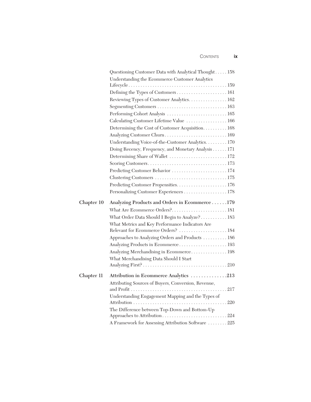|            | Questioning Customer Data with Analytical Thought158 |
|------------|------------------------------------------------------|
|            | Understanding the Ecommerce Customer Analytics       |
|            |                                                      |
|            | Defining the Types of Customers 161                  |
|            | Reviewing Types of Customer Analytics. 162           |
|            |                                                      |
|            | Performing Cohort Analysis  165                      |
|            | Calculating Customer Lifetime Value  166             |
|            | Determining the Cost of Customer Acquisition. 168    |
|            | Analyzing Customer Churn 169                         |
|            | Understanding Voice-of-the-Customer Analytics 170    |
|            | Doing Recency, Frequency, and Monetary Analysis 171  |
|            | Determining Share of Wallet 172                      |
|            |                                                      |
|            | Predicting Customer Behavior  174                    |
|            |                                                      |
|            |                                                      |
|            | Personalizing Customer Experiences 178               |
| Chapter 10 | Analyzing Products and Orders in Ecommerce179        |
|            | What Are Ecommerce Orders?181                        |
|            | What Order Data Should I Begin to Analyze? 183       |
|            | What Metrics and Key Performance Indicators Are      |
|            | Relevant for Ecommerce Orders?  184                  |
|            | Approaches to Analyzing Orders and Products  186     |
|            | Analyzing Products in Ecommerce193                   |
|            | Analyzing Merchandising in Ecommerce 198             |
|            | What Merchandising Data Should I Start               |
|            |                                                      |
| Chapter 11 | Attribution in Ecommerce Analytics 213               |
|            | Attributing Sources of Buyers, Conversion, Revenue,  |
|            |                                                      |
|            | Understanding Engagement Mapping and the Types of    |
|            |                                                      |
|            | The Difference between Top-Down and Bottom-Up        |
|            |                                                      |
|            | A Framework for Assessing Attribution Software 225   |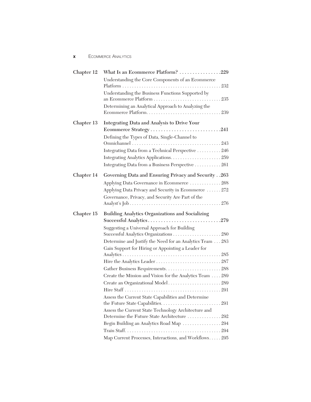| Chapter 12 | What Is an Ecommerce Platform? 229                                                                       |
|------------|----------------------------------------------------------------------------------------------------------|
|            | Understanding the Core Components of an Ecommerce                                                        |
|            | Understanding the Business Functions Supported by                                                        |
|            | Determining an Analytical Approach to Analyzing the                                                      |
| Chapter 13 | Integrating Data and Analysis to Drive Your                                                              |
|            | Defining the Types of Data, Single-Channel to                                                            |
|            | Integrating Data from a Technical Perspective 246<br>Integrating Data from a Business Perspective 261    |
| Chapter 14 | Governing Data and Ensuring Privacy and Security 263                                                     |
|            | Applying Data Governance in Ecommerce 268                                                                |
|            | Applying Data Privacy and Security in Ecommerce 272<br>Governance, Privacy, and Security Are Part of the |
|            |                                                                                                          |
| Chapter 15 | Building Analytics Organizations and Socializing<br>Successful Analytics279                              |
|            | Suggesting a Universal Approach for Building                                                             |
|            | Determine and Justify the Need for an Analytics Team 283                                                 |
|            | Gain Support for Hiring or Appointing a Leader for                                                       |
|            |                                                                                                          |
|            | Gather Business Requirements288                                                                          |
|            | Create the Mission and Vision for the Analytics Team 289                                                 |
|            | Create an Organizational Model289                                                                        |
|            | Assess the Current State Capabilities and Determine                                                      |
|            |                                                                                                          |
|            | Assess the Current State Technology Architecture and<br>Determine the Future State Architecture 292      |
|            | Begin Building an Analytics Road Map 294                                                                 |
|            |                                                                                                          |
|            | Map Current Processes, Interactions, and Workflows295                                                    |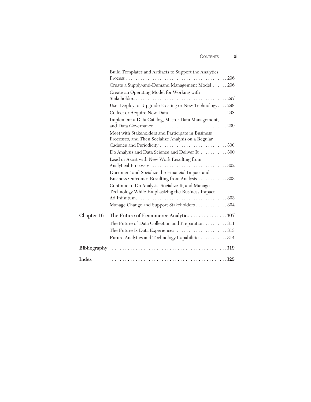<span id="page-11-0"></span>

|              | Build Templates and Artifacts to Support the Analytics                                                    |
|--------------|-----------------------------------------------------------------------------------------------------------|
|              | Create a Supply-and-Demand Management Model 296                                                           |
|              | Create an Operating Model for Working with                                                                |
|              | Use, Deploy, or Upgrade Existing or New Technology 298                                                    |
|              | Collect or Acquire New Data 298                                                                           |
|              | Implement a Data Catalog, Master Data Management,                                                         |
|              | Meet with Stakeholders and Participate in Business<br>Processes, and Then Socialize Analysis on a Regular |
|              | Do Analysis and Data Science and Deliver It 300                                                           |
|              | Lead or Assist with New Work Resulting from                                                               |
|              | Document and Socialize the Financial Impact and<br>Business Outcomes Resulting from Analysis 303          |
|              | Continue to Do Analysis, Socialize It, and Manage<br>Technology While Emphasizing the Business Impact     |
|              | Manage Change and Support Stakeholders 304                                                                |
| Chapter 16   | The Future of Ecommerce Analytics 307                                                                     |
|              | The Future of Data Collection and Preparation 311                                                         |
|              |                                                                                                           |
|              | Future Analytics and Technology Capabilities314                                                           |
| Bibliography |                                                                                                           |
| Index        |                                                                                                           |
|              |                                                                                                           |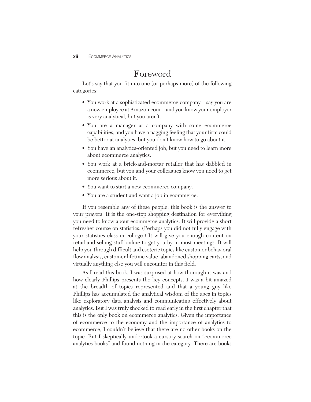## Foreword

Let's say that you fit into one (or perhaps more) of the following categories:

- You work at a sophisticated ecommerce company—say you are a new employee at [Amazon.com](http://www.Amazon.com)—and you know your employer is very analytical, but you aren't.
- You are a manager at a company with some ecommerce capabilities, and you have a nagging feeling that your firm could be better at analytics, but you don't know how to go about it.
- You have an analytics-oriented job, but you need to learn more about ecommerce analytics.
- You work at a brick-and-mortar retailer that has dabbled in ecommerce, but you and your colleagues know you need to get more serious about it.
- You want to start a new ecommerce company.
- You are a student and want a job in ecommerce.

If you resemble any of these people, this book is the answer to your prayers. It is the one-stop shopping destination for everything you need to know about ecommerce analytics. It will provide a short refresher course on statistics. (Perhaps you did not fully engage with your statistics class in college.) It will give you enough content on retail and selling stuff online to get you by in most meetings. It will help you through difficult and esoteric topics like customer behavioral flow analysis, customer lifetime value, abandoned shopping carts, and virtually anything else you will encounter in this field.

As I read this book, I was surprised at how thorough it was and how clearly Phillips presents the key concepts. I was a bit amazed at the breadth of topics represented and that a young guy like Phillips has accumulated the analytical wisdom of the ages in topics like exploratory data analysis and communicating effectively about analytics. But I was truly shocked to read early in the first chapter that this is the only book on ecommerce analytics. Given the importance of ecommerce to the economy and the importance of analytics to ecommerce, I couldn't believe that there are no other books on the topic. But I skeptically undertook a cursory search on "ecommerce analytics books" and found nothing in the category. There are books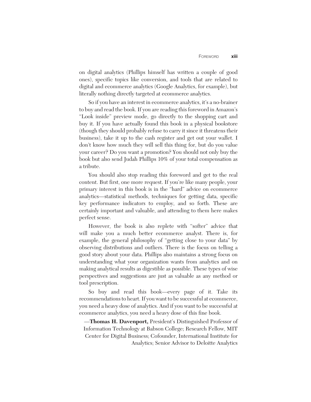on digital analytics (Phillips himself has written a couple of good ones), specific topics like conversion, and tools that are related to digital and ecommerce analytics (Google Analytics, for example), but literally nothing directly targeted at ecommerce analytics.

So if you have an interest in ecommerce analytics, it's a no-brainer to buy and read the book. If you are reading this foreword in Amazon's "Look inside" preview mode, go directly to the shopping cart and buy it. If you have actually found this book in a physical bookstore (though they should probably refuse to carry it since it threatens their business), take it up to the cash register and get out your wallet. I don't know how much they will sell this thing for, but do you value your career? Do you want a promotion? You should not only buy the book but also send Judah Phillips 10% of your total compensation as a tribute.

You should also stop reading this foreword and get to the real content. But first, one more request. If you're like many people, your primary interest in this book is in the "hard" advice on ecommerce analytics—statistical methods, techniques for getting data, specific key performance indicators to employ, and so forth. These are certainly important and valuable, and attending to them here makes perfect sense.

However, the book is also replete with "softer" advice that will make you a much better ecommerce analyst. There is, for example, the general philosophy of "getting close to your data" by observing distributions and outliers. There is the focus on telling a good story about your data. Phillips also maintains a strong focus on understanding what your organization wants from analytics and on making analytical results as digestible as possible. These types of wise perspectives and suggestions are just as valuable as any method or tool prescription.

So buy and read this book—every page of it. Take its recommendations to heart. If you want to be successful at ecommerce, you need a heavy dose of analytics. And if you want to be successful at ecommerce analytics, you need a heavy dose of this fine book.

—**Thomas H. Davenport,** President's Distinguished Professor of Information Technology at Babson College; Research Fellow, MIT Center for Digital Business; Cofounder, International Institute for Analytics; Senior Advisor to Deloitte Analytics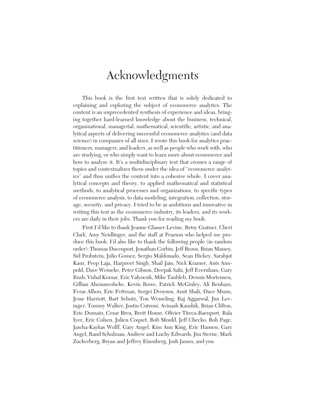## Acknowledgments

This book is the first text written that is solely dedicated to explaining and exploring the subject of ecommerce analytics. The content is an unprecedented synthesis of experience and ideas, bringing together hard-learned knowledge about the business, technical, organizational, managerial, mathematical, scientific, artistic, and analytical aspects of delivering successful ecommerce analytics (and data science) in companies of all sizes. I wrote this book for analytics practitioners, managers, and leaders, as well as people who work with, who are studying, or who simply want to learn more about ecommerce and how to analyze it. It's a multidisciplinary text that crosses a range of topics and contextualizes them under the idea of "ecommerce analytics" and thus unifies the content into a cohesive whole. I cover analytical concepts and theory, to applied mathematical and statistical methods, to analytical processes and organizations, to specific types of ecommerce analysis, to data modeling, integration, collection, storage, security, and privacy. I tried to be as ambitious and innovative in writing this text as the ecommerce industry, its leaders, and its workers are daily in their jobs. Thank you for reading my book.

First I'd like to thank Jeanne Glasser-Levine, Betsy Gratner, Cheri Clark, Amy Neidlinger, and the staff at Pearson who helped me produce this book. I'd also like to thank the following people (in random order): Thomas Davenport, Jonathan Corbin, Jeff Bezos, Brian Massey, Sid Probstein, Julio Gomez, Sergio Maldonado, Sean Hickey, Sarabjot Kaur, Peep Laja, Harpreet Singh, Shail Jain, Nick Kramer, Ants Anupold, Dave Weineke, Peter Gibson, Deepak Sahi, Jeff Evernham, Gary Rush, Vishal Kumar, Eric Valyocsik, Mike Taubleb, Dennis Mortensen, Gillian Ahouanvoheke, Kevin Rowe, Patrick McGinley, Ali Benham, Feras Alhou, Eric Fettman, Sergei Dvoynos, Amit Shah, Dave Munn, Jesse Harriott, Bart Schutz, Ton Wesseling, Raj Aggarwal, Jim Levinger, Tommy Walker, Justin Cutroni, Avinash Kaushik, Brian Clifton, Eric Dumain, Cesar Brea, Brett House, Olivier Titeca-Baeuport, Bala Iyer, Eric Colsen, Julien Coquet, Bob Mould, Jeff Checko, Bob Page, Jascha-Kaykas Wolff, Gary Angel, Kim Ann King, Eric Hansen, Gary Angel, Rand Schulman, Andrew and Luchy Edwards, Jim Sterne, Mark Zuckerberg, Bryan and Jeffrey Eisenberg, Josh James, and you.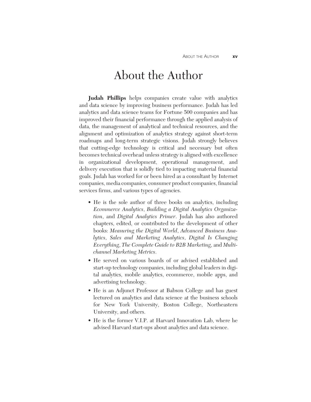## About the Author

**Judah Phillips** helps companies create value with analytics and data science by improving business performance. Judah has led analytics and data science teams for Fortune 500 companies and has improved their financial performance through the applied analysis of data, the management of analytical and technical resources, and the alignment and optimization of analytics strategy against short-term roadmaps and long-term strategic visions. Judah strongly believes that cutting-edge technology is critical and necessary but often becomes technical overhead unless strategy is aligned with excellence in organizational development, operational management, and delivery execution that is solidly tied to impacting material financial goals. Judah has worked for or been hired as a consultant by Internet companies, media companies, consumer product companies, financial services firms, and various types of agencies.

- He is the sole author of three books on analytics, including *Ecommerce Analytics*, *Building a Digital Analytics Organization*, and *Digital Analytics Primer*. Judah has also authored chapters, edited, or contributed to the development of other books: *Measuring the Digital World*, *Advanced Business Analytics*, *Sales and Marketing Analytics*, *Digital Is Changing Everything*, *The Complete Guide to B2B Marketing*, and *Multichannel Marketing Metrics*.
- He served on various boards of or advised established and start-up technology companies, including global leaders in digital analytics, mobile analytics, ecommerce, mobile apps, and advertising technology.
- He is an Adjunct Professor at Babson College and has guest lectured on analytics and data science at the business schools for New York University, Boston College, Northeastern University, and others.
- He is the former V.I.P. at Harvard Innovation Lab, where he advised Harvard start-ups about analytics and data science.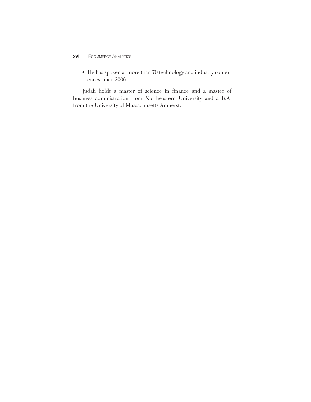• He has spoken at more than 70 technology and industry conferences since 2006.

Judah holds a master of science in finance and a master of business administration from Northeastern University and a B.A. from the University of Massachusetts Amherst.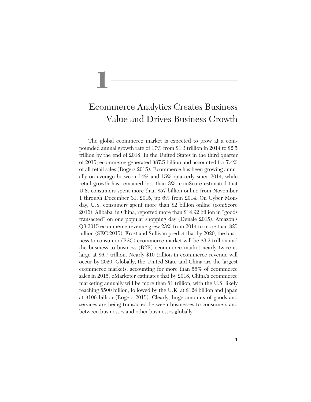## [Ecommerce Analytics Creates Business](#page-7-0)  Value and Drives Business Growth

<span id="page-17-0"></span> **1** 

 The global ecommerce market is expected to grow at a compounded annual growth rate of 17% from \$1.3 trillion in 2014 to \$2.5 trillion by the end of 2018. In the United States in the third quarter of 2015, ecommerce generated \$87.5 billion and accounted for 7.4% of all retail sales (Rogers 2015). Ecommerce has been growing annually on average between 14% and 15% quarterly since 2014, while retail growth has remained less than 3%. comScore estimated that U.S. consumers spent more than \$57 billion online from November 1 through December 31, 2015, up 6% from 2014. On Cyber Monday, U.S. consumers spent more than \$2 billion online (comScore 2016). Alibaba, in China, reported more than \$14.92 billion in "goods transacted" on one popular shopping day (Denale 2015). Amazon's Q3 2015 ecommerce revenue grew 23% from 2014 to more than \$25 billion (SEC 2015). Frost and Sullivan predict that by 2020, the business to consumer (B2C) ecommerce market will be \$3.2 trillion and the business to business (B2B) ecommerce market nearly twice as large at \$6.7 trillion. Nearly \$10 trillion in ecommerce revenue will occur by 2020. Globally, the United State and China are the largest ecommerce markets, accounting for more than 55% of ecommerce sales in 2015. eMarketer estimates that by 2018, China's ecommerce marketing annually will be more than \$1 trillion, with the U.S. likely reaching \$500 billion, followed by the U.K. at \$124 billion and Japan at \$106 billion (Rogers 2015). Clearly, huge amounts of goods and services are being transacted between businesses to consumers and between businesses and other businesses globally.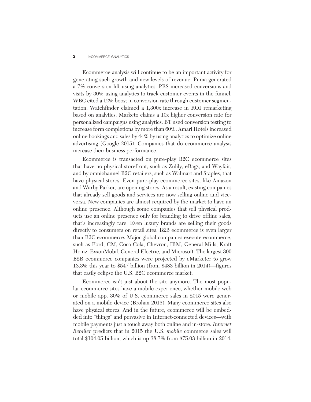<span id="page-18-0"></span> Ecommerce analysis will continue to be an important activity for generating such growth and new levels of revenue. Puma generated a 7% conversion lift using analytics. PBS increased conversions and visits by 30% using analytics to track customer events in the funnel. WBC cited a 12% boost in conversion rate through customer segmentation. Watchfinder claimed a 1,300x increase in ROI remarketing based on analytics. Marketo claims a 10x higher conversion rate for personalized campaigns using analytics. BT used conversion testing to increase form completions by more than 60%. Amari Hotels increased online bookings and sales by 44% by using analytics to optimize online advertising (Google 2015). Companies that do ecommerce analysis increase their business performance.

 Ecommerce is transacted on pure-play B2C ecommerce sites that have no physical storefront, such as Zulily, eBags, and Wayfair, and by omnichannel B2C retailers, such as Walmart and Staples, that have physical stores. Even pure-play ecommerce sites, like Amazon and Warby Parker, are opening stores. As a result, existing companies that already sell goods and services are now selling online and viceversa. New companies are almost required by the market to have an online presence. Although some companies that sell physical products use an online presence only for branding to drive offline sales, that's increasingly rare. Even luxury brands are selling their goods directly to consumers on retail sites. B2B ecommerce is even larger than B2C ecommerce. Major global companies execute ecommerce, such as Ford, GM, Coca-Cola, Chevron, IBM, General Mills, Kraft Heinz, ExxonMobil, General Electric, and Microsoft. The largest 300 B2B ecommerce companies were projected by eMarketer to grow 13.3% this year to \$547 billion (from \$483 billion in 2014)—figures that easily eclipse the U.S. B2C ecommerce market.

 Ecommerce isn't just about the site anymore. The most popular ecommerce sites have a mobile experience, whether mobile web or mobile app. 30% of U.S. ecommerce sales in 2015 were generated on a mobile device (Brohan 2015). Many ecommerce sites also have physical stores. And in the future, ecommerce will be embedded into "things" and pervasive in Internet-connected devices—with mobile payments just a touch away both online and in-store. *Internet Retailer* predicts that in 2015 the U.S. *mobile* commerce sales will total \$104.05 billion, which is up 38.7% from \$75.03 billion in 2014.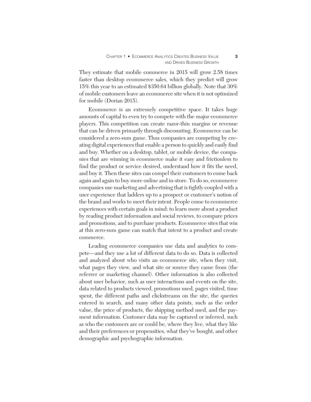<span id="page-19-0"></span>They estimate that mobile commerce in 2015 will grow 2.58 times faster than desktop ecommerce sales, which they predict will grow 15% this year to an estimated \$350.64 billion globally. Note that 30% of mobile customers leave an ecommerce site when it is not optimized for mobile (Dorian 2015).

 Ecommerce is an extremely competitive space. It takes huge amounts of capital to even try to compete with the major ecommerce players. This competition can create razor-thin margins or revenue that can be driven primarily through discounting. Ecommerce can be considered a zero-sum game. Thus companies are competing by creating digital experiences that enable a person to quickly and easily find and buy. Whether on a desktop, tablet, or mobile device, the companies that are winning in ecommerce make it easy and frictionless to find the product or service desired, understand how it fits the need, and buy it. Then these sites can compel their customers to come back again and again to buy more online and in-store. To do so, ecommerce companies use marketing and advertising that is tightly coupled with a user experience that ladders up to a prospect or customer's notion of the brand and works to meet their intent. People come to ecommerce experiences with certain goals in mind: to learn more about a product by reading product information and social reviews, to compare prices and promotions, and to purchase products. Ecommerce sites that win at this zero-sum game can match that intent to a product and create commerce.

 Leading ecommerce companies use data and analytics to compete—and they use a lot of different data to do so. Data is collected and analyzed about who visits an ecommerce site, when they visit, what pages they view, and what site or source they came from (the referrer or marketing channel). Other information is also collected about user behavior, such as user interactions and events on the site, data related to products viewed, promotions used, pages visited, time spent, the different paths and clickstreams on the site, the queries entered in search, and many other data points, such as the order value, the price of products, the shipping method used, and the payment information. Customer data may be captured or inferred, such as who the customers are or could be, where they live, what they like and their preferences or propensities, what they've bought, and other demographic and psychographic information.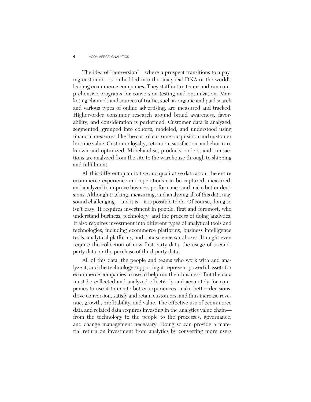<span id="page-20-0"></span> The idea of "conversion"—where a prospect transitions to a paying customer—is embedded into the analytical DNA of the world's leading ecommerce companies. They staff entire teams and run comprehensive programs for conversion testing and optimization. Marketing channels and sources of traffic, such as organic and paid search and various types of online advertising, are measured and tracked. Higher-order consumer research around brand awareness, favorability, and consideration is performed. Customer data is analyzed, segmented, grouped into cohorts, modeled, and understood using financial measures, like the cost of customer acquisition and customer lifetime value. Customer loyalty, retention, satisfaction, and churn are known and optimized. Merchandise, products, orders, and transactions are analyzed from the site to the warehouse through to shipping and fulfillment.

 All this different quantitative and qualitative data about the entire ecommerce experience and operations can be captured, measured, and analyzed to improve business performance and make better decisions. Although tracking, measuring, and analyzing all of this data may sound challenging—and it is—it is possible to do. Of course, doing so isn't easy. It requires investment in people, first and foremost, who understand business, technology, and the process of doing analytics. It also requires investment into different types of analytical tools and technologies, including ecommerce platforms, business intelligence tools, analytical platforms, and data science sandboxes. It might even require the collection of new first-party data, the usage of secondparty data, or the purchase of third-party data.

 All of this data, the people and teams who work with and analyze it, and the technology supporting it represent powerful assets for ecommerce companies to use to help run their business. But the data must be collected and analyzed effectively and accurately for companies to use it to create better experiences, make better decisions, drive conversion, satisfy and retain customers, and thus increase revenue, growth, profitability, and value. The effective use of ecommerce data and related data requires investing in the analytics value chain from the technology to the people to the processes, governance, and change management necessary. Doing so can provide a material return on investment from analytics by converting more users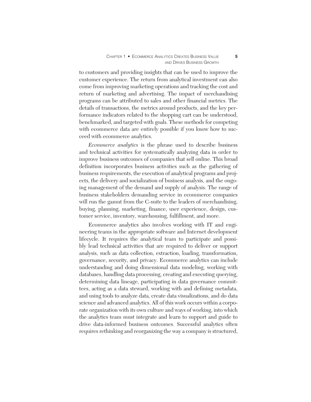<span id="page-21-0"></span>to customers and providing insights that can be used to improve the customer experience. The return from analytical investment can also come from improving marketing operations and tracking the cost and return of marketing and advertising. The impact of merchandising programs can be attributed to sales and other financial metrics. The details of transactions, the metrics around products, and the key performance indicators related to the shopping cart can be understood, benchmarked, and targeted with goals. These methods for competing with ecommerce data are entirely possible if you know how to succeed with ecommerce analytics.

*Ecommerce analytics* is the phrase used to describe business and technical activities for systematically analyzing data in order to improve business outcomes of companies that sell online. This broad definition incorporates business activities such as the gathering of business requirements, the execution of analytical programs and projects, the delivery and socialization of business analysis, and the ongoing management of the demand and supply of analysis. The range of business stakeholders demanding service in ecommerce companies will run the gamut from the C-suite to the leaders of merchandising, buying, planning, marketing, finance, user experience, design, customer service, inventory, warehousing, fulfillment, and more.

 Ecommerce analytics also involves working with IT and engineering teams in the appropriate software and Internet development lifecycle. It requires the analytical team to participate and possibly lead technical activities that are required to deliver or support analysis, such as data collection, extraction, loading, transformation, governance, security, and privacy. Ecommerce analytics can include understanding and doing dimensional data modeling, working with databases, handling data processing, creating and executing querying, determining data lineage, participating in data governance committees, acting as a data steward, working with and defining metadata, and using tools to analyze data, create data visualizations, and do data science and advanced analytics. All of this work occurs within a corporate organization with its own culture and ways of working, into which the analytics team must integrate and learn to support and guide to drive data-informed business outcomes. Successful analytics often requires rethinking and reorganizing the way a company is structured,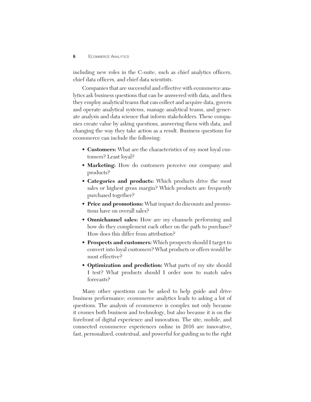<span id="page-22-0"></span>including new roles in the C-suite, such as chief analytics officers, chief data officers, and chief data scientists.

 Companies that are successful and effective with ecommerce analytics ask business questions that can be answered with data, and then they employ analytical teams that can collect and acquire data, govern and operate analytical systems, manage analytical teams, and generate analysis and data science that inform stakeholders. These companies create value by asking questions, answering them with data, and changing the way they take action as a result. Business questions for ecommerce can include the following:

- **Customers:** What are the characteristics of my most loyal customers? Least loyal?
- **Marketing:** How do customers perceive our company and products?
- **Categories and products:** Which products drive the most sales or highest gross margin? Which products are frequently purchased together?
- **Price and promotions:** What impact do discounts and promotions have on overall sales?
- **Omnichannel sales:** How are my channels performing and how do they complement each other on the path to purchase? How does this differ from attribution?
- **Prospects and customers:** Which prospects should I target to convert into loyal customers? What products or offers would be most effective?
- **Optimization and prediction:** What parts of my site should I test? What products should I order now to match sales forecasts?

 Many other questions can be asked to help guide and drive business performance; ecommerce analytics leads to asking a lot of questions. The analysis of ecommerce is complex not only because it crosses both business and technology, but also because it is on the forefront of digital experience and innovation. The site, mobile, and connected ecommerce experiences online in 2016 are innovative, fast, personalized, contextual, and powerful for guiding us to the right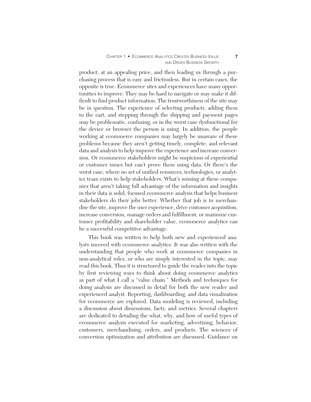<span id="page-23-0"></span>product, at an appealing price, and then leading us through a purchasing process that is easy and frictionless. But in certain cases, the opposite is true. Ecommerce sites and experiences have many opportunities to improve. They may be hard to navigate or may make it difficult to find product information. The trustworthiness of the site may be in question. The experience of selecting products, adding them to the cart, and stepping through the shipping and payment pages may be problematic, confusing, or in the worst case dysfunctional for the device or browser the person is using. In addition, the people working at ecommerce companies may largely be unaware of these problems because they aren't getting timely, complete, and relevant data and analysis to help improve the experience and increase conversion. Or ecommerce stakeholders might be suspicious of experiential or customer issues but can't prove them using data. Or there's the worst case, where no set of unified resources, technologies, or analytics team exists to help stakeholders. What's missing at these companies that aren't taking full advantage of the information and insights in their data is solid, focused ecommerce analysis that helps business stakeholders do their jobs better. Whether that job is to merchandise the site, improve the user experience, drive customer acquisition, increase conversion, manage orders and fulfillment, or maximize customer profitability and shareholder value, ecommerce analytics can be a successful competitive advantage.

 This book was written to help both new and experienced analysts succeed with ecommerce analytics. It was also written with the understanding that people who work at ecommerce companies in non-analytical roles, or who are simply interested in the topic, may read this book. Thus it is structured to guide the reader into the topic by first reviewing ways to think about doing ecommerce analytics as part of what I call a "value chain." Methods and techniques for doing analysis are discussed in detail for both the new reader and experienced analyst. Reporting, dashboarding, and data visualization for ecommerce are explored. Data modeling is reviewed, including a discussion about dimensions, facts, and metrics. Several chapters are dedicated to detailing the what, why, and how of useful types of ecommerce analysis executed for marketing, advertising, behavior, customers, merchandising, orders, and products. The sciences of conversion optimization and attribution are discussed. Guidance on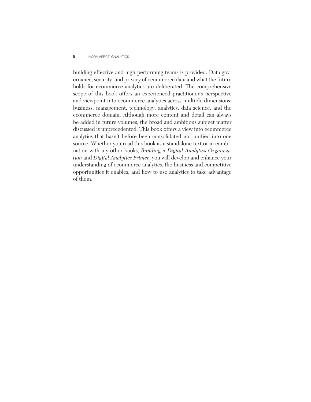<span id="page-24-0"></span>building effective and high-performing teams is provided. Data governance, security, and privacy of ecommerce data and what the future holds for ecommerce analytics are deliberated. The comprehensive scope of this book offers an experienced practitioner's perspective and viewpoint into ecommerce analytics across multiple dimensions: business, management, technology, analytics, data science, and the ecommerce domain. Although more content and detail can always be added in future volumes, the broad and ambitious subject matter discussed is unprecedented. This book offers a view into ecommerce analytics that hasn't before been consolidated nor unified into one source. Whether you read this book as a standalone text or in combination with my other books, *Building a Digital Analytics Organization* and *Digital Analytics Primer* , you will develop and enhance your understanding of ecommerce analytics, the business and competitive opportunities it enables, and how to use analytics to take advantage of them.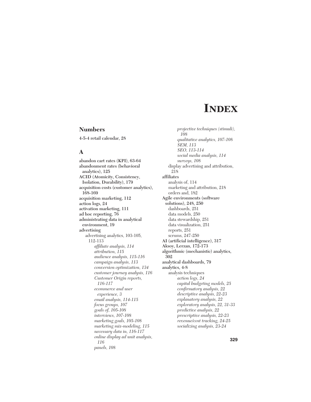

#### <span id="page-25-0"></span>**Numbers**

4-5-4 retail calendar, 28

#### **A**

abandon cart rates (KPI), 63-64 abandonment rates (behavioral analytics), 125 ACID (Atomicity, Consistency, Isolation, Durability), 179 acquisition costs (customer analytics), 168 - 169 acquisition marketing, 112 action logs, [24](#page--1-0)  activation marketing, 111 ad hoc reporting, 76 administrating data in analytical environment, [19](#page--1-0)  advertising advertising analytics, 103-105, 112 - 113  *affiliate analysis, 114 attribution, 115 audience analysis, 115 - 116 campaign analysis, 113 conversion optimization, 134 customer journey analysis, 116 Customer Origin reports, 116 - 117 ecommerce and user experience, [3](#page-19-0) email analysis, 114 - 115 focus groups, 107 goals of, 105 - 108 interviews, 107 - 108 marketing goals, 105 - 108 marketing mix-modeling, 115 necessary data in, 116 - 117 online display ad unit analysis, 116 panels, 108* 

 *projective techniques (stimuli), 108 qualitative analytics, 107 - 108 SEM, 113 SEO, 113 - 114 social media analysis, 114 surveys, 108*  display advertising and attribution, 218 affiliates analysis of, 114 marketing and attribution, 218 orders and, 182 Agile environments (software solutions), 248, 250 dashboards, 251 data models, 250 data stewardship, 251 data visualization, 251 reports, 251 scrums, 247-250 AI (artificial intelligence), 317 Aksoy, Lerzan, 172-173 algorithmic (mechanistic) analytics, 302 analytical dashboards, 79 analytics, 4-8 analysis techniques  *action logs, [24](#page--1-0)  capital budgeting models, [25](#page--1-0)  confirmatory analysis, [22](#page--1-0)  descriptive analysis, [22 - 23](#page--1-0)  explanatory analysis, [22](#page--1-0)  exploratory analysis, [22 ,](#page--1-0) 31 - 33 predictive analysis, [22](#page--1-0)  prescriptive analysis, [22 - 23](#page--1-0)  revenue/cost tracking, [24 - 25](#page--1-0) socializing analysis, [23 - 24](#page--1-0)*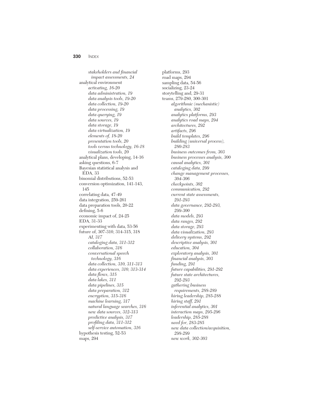*stakeholders and financial impact assessments, [24](#page--1-0)*  analytical environment  *activating, [16 - 20](#page--1-0)  data administration, [19](#page--1-0) data analysis tools, 19-20 data collection, [19- 20](#page--1-0)  data processing, [19](#page--1-0) data querying, [19](#page--1-0)  data sources, [19](#page--1-0)  data storage, [19](#page--1-0) data virtualization, [19](#page--1-0)  elements of, [18 - 20](#page--1-0) presentation tools, [20](#page--1-0) tools versus technology, [16 - 18](#page--1-0)  visualization tools, [20](#page--1-0)*  analytical plans, developing, [14 - 16](#page--1-0) asking questions, [6](#page-22-0)-7 Bayesian statistical analysis and EDA, 33 binomial distributions, 52-53 conversion optimization, 141-143, 145 correlating data, 47-49 data integration, 259-261 data preparation tools, 20-22 defining, [5](#page-21-0)-6 economic impact of, 24-25 EDA, 31-33 experimenting with data, 53-56 future of, 307-310, 314-315, 318  *AI, 317 cataloging data, 311 - 312 collaboration, 316 conversational speech technology, 316 data collection, 310 , 311 - 313 data experiences, 310 , 313 - 314 data flows, 315 data lakes, 311 data pipelines, 315 data preparation, 312 encryption, 315 - 316 machine learning, 317 natural language searches, 316 new data sources, 312 - 313 predictive analysis, 317 profiling data, 311 - 312 self-service automation, 316*  hypothesis testing, 52-53 maps, 294

 platforms, 293 road maps, 294 sampling data, 54-56 socializing, 23-24 storytelling and, 29-31 teams, 279-280, 300-301  *algorithmic (mechanistic) analytics, 302 analytics platforms, 293 analytics road maps, 294 architectures, 292 artifacts, 296 build templates, 296 building (universal process), 280 - 283 business outcomes from, 303 business processes analysis, 300 causal analytics, 301 cataloging data, 299 change management processes, 304 - 306 checkpoints, 302 communication, 292 current state assessments, 291 - 293 data governance, 292- 293 , 299 - 300 data models, 293 data ranges, 292 data storage, 293 data visualization, 293 delivery systems, 292 descriptive analysis, 301 education, 304 exploratory analysis, 301 financial analysis, 303 funding, 291 future capabilities, 291 - 292 future state architectures, 292 - 293 gathering business requirements, 288 - 289 hiring leadership, 285 - 288 hiring staff, 291 inferential analytics, 301 interaction maps, 295 - 296 leadership, 285 - 288 need for, 283 - 285 new data collection/acquisition, 298 - 299 new work, 302 - 303*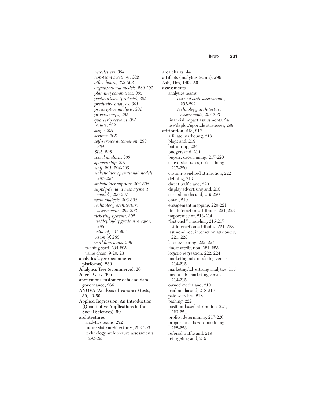*newsletters, 304 non-team meetings, 302 office hours, 302 - 303 organizational models, 289 - 291 planning committees, 305 postmortems (projects), 305 predictive analysis, 301 prescriptive analysis, 301 process maps, 295 quarterly reviews, 305 results, 292 scope, 291 scrums, 305 self-service automation, 293 , 304 SLA, 298 social analysis, 300 sponsorship, 291 staff, 291 , 294 - 295 stakeholder operational models, 297 - 298 stakeholder support, 304 - 306 supply/demand management models, 296 - 297 team analysis, 303 - 304 technology architecture assessments, 292 - 293 ticketing systems, 302 use/deploy/upgrade strategies, 298 value of, 291 - 292 vision of, 289 workflow maps, 296*  training staff, 294-295 value chain, 9-20, 23 analytics layer (ecommerce platforms), 230 Analytics Tier (ecommerce), [20](#page--1-0)  Angel, Gary, 305 anonymous customer data and data governance, 266 ANOVA (Analysis of Variance) tests, 39, 49-50 Applied Regression: An Introduction (Quantitative Applications in the Social Sciences), 50 architectures analytics teams, 292 future state architectures, 292-293 technology architecture assessments, 292 - 293

 area charts, 44 artifacts (analytics teams), 296 Ash, Tim, 149-150 assessments analytics teams  *current state assessments, 291 - 292 technology architecture assessments, 292 - 293*  financial impact assessments, [24](#page--1-0)  use/deploy/upgrade strategies, 298 attribution, 213, 217 affiliate marketing, 218 blogs and, 219 bottom-up, 224 budgets and, 214 buyers, determining, 217-220 conversion rates, determining, 217 - 220 custom-weighted attribution, 222 defining, 213 direct traffic and, 220 display advertising and, 218 earned media and, 219-220 email, 219 engagement mapping, 220-221 first interaction attributes, 221, 223 importance of, 213-214 "last click" modeling, 215-217 last interaction attributes, 221, 223 last nondirect interaction attributes, 221 , 223 latency scoring, 222, 224 linear attribution, 221, 223 logistic regression, 222, 224 marketing mix-modeling versus, 214-215 marketing/advertising analytics, 115 media mix-marketing versus, 214-215 owned media and, 219 paid media and, 218-219 paid searches, 218 pathing, 222 position-based attribution, 221 , 223 - 224 profits, determining, 217-220 proportional hazard modeling, 222 - 223 referral traffic and, 219 retargeting and, 219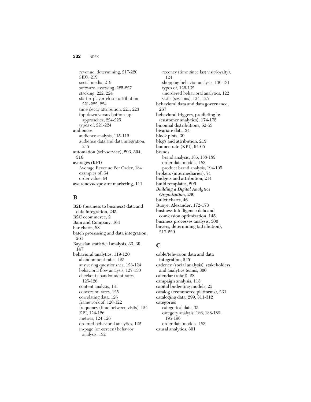revenue, determining, 217-220 SEO, 219 social media, 219 software, assessing, 225-227 stacking, 222 , 224 starter-player-closer attribution, 221 - 222 , 224 time decay attribution, 221, 223 top-down versus bottom-up approaches, 224-225 types of, 221-224 audiences audience analysis, 115-116 audience data and data integration, 245 automation (self-service), 293 , 304 , 316 averages (KPI) Average Revenue Per Order, 184 examples of, 64 order value, 64 awareness/exposure marketing, 111

#### **B**

 B2B (business to business) data and data integration, 245 B2C ecommerce, [2](#page-18-0) Bain and Company, 164 bar charts, 88 batch processing and data integration, 261 Bayesian statistical analysis, 33, 39, 147 behavioral analytics, 119-120 abandonment rates, 125 answering questions via, 123-124 behavioral flow analysis, 127 - 130 checkout abandonment rates, 125 - 126 content analysis, 131 conversion rates, 125 correlating data, 126 framework of, 120-122 frequency (time between visits), 124 KPI, 124-126 metrics, 124-126 ordered behavioral analytics, 122 in-page (on-screen) behavior analysis, 132

 recency (time since last visit/loyalty), 124 shopping behavior analysis, 130-131 types of, 126-132 unordered behavioral analytics, 122 visits (sessions),  $124$ ,  $125$  behavioral data and data governance, 267 behavioral triggers, predicting by (customer analytics), 174 - 175 binomial distributions, 52-53 bivariate data, 34 block plots, 39 blogs and attribution, 219 bounce rate (KPI), 64-65 brands brand analysis, 186 , 188 - 189 order data models, 183 product brand analysis, 194 - 195 brokers (intermediaries), 74 budgets and attribution, 214 build templates, 296  *Building a Digital Analytics Organization* , 280 bullet charts, 46 Buoye, Alexander, 172-173 business intelligence data and conversion optimization, 145 business processes analysis, 300 buyers, determining (attribution), 217 - 220

#### **C**

 cable/television data and data integration, 245 cadence (social analysis), stakeholders and analytics teams, 300 calendar (retail), 28 campaign analysis, 113 capital budgeting models, [25](#page--1-0)  catalog (ecommerce platforms), 231 cataloging data, 299, 311-312 categories categorical data, 35 category analysis, 186, 188-189, 195 - 196 order data models, 183 causal analytics, 301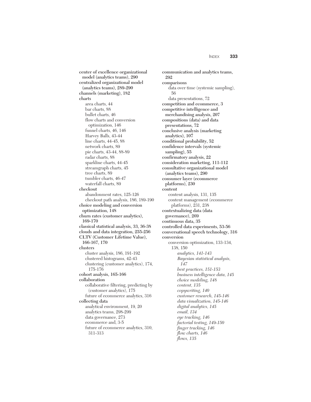center of excellence organizational model (analytics teams), 290 centralized organizational model (analytics teams), 289-290 channels (marketing), 182 charts area charts, 44 bar charts, 88 bullet charts, 46 flow charts and conversion optimization, 146 funnel charts, 46, 146 Harvey Balls, 43-44 line charts, 44-45, 88 network charts, 89 pie charts, 43-44, 88-89 radar charts, 88 sparkline charts, 44-45 streamgraph charts, 45 tree charts, 89 tumbler charts, 46-47 waterfall charts, 89 checkout abandonment rates, 125 - 126 checkout path analysis, 186, 189-190 choice modeling and conversion optimization, 148 churn rates (customer analytics), 169 - 170 classical statistical analysis, 33, 36-38 clouds and data integration, 255-256 CLTV (Customer Lifetime Value), 166-167, 170 clusters cluster analysis, 186 , 191 - 192 clustered histograms, 42-43 clustering (customer analytics), 174, 175 - 176 cohort analysis, 165 - 166 collaboration collaborative filtering, predicting by (customer analytics), 175 future of ecommerce analytics, 316 collecting data analytical environment, [19](#page--1-0) , [20](#page--1-0)  analytics teams, 298-299 data governance, 273 ecommerce and, 3-5 future of ecommerce analytics, 310, 311 - 313

 communication and analytics teams, 292 comparisons data over time (systemic sampling), 56 data presentations, 72 competition and ecommerce, [3](#page-19-0)  competitive intelligence and merchandising analysis, 207 compositions (data) and data presentations, 72 conclusive analysis (marketing analytics), 107 conditional probability, 52 confidence intervals (systemic sampling), 55 confirmatory analysis, [22](#page--1-0)  consideration marketing, 111-112 consultative organizational model (analytics teams), 290 consumer layer (ecommerce platforms), 230 content content analysis, 131, 135 content management (ecommerce platforms), 231, 238 contextualizing data (data governance), 269 continuous data, 35 controlled data experiments, 53-56 conversational speech technology, 316 conversion conversion optimization, 133-134, 138 , 150  *analytics, 141 - 143 Bayesian statistical analysis, 147 best practices, 151 - 153 business intelligence data, 145 choice modeling, 148 content, 135 copywriting, 140 customer research, 145 - 146 data visualization, 145 - 146 digital analytics, 145 email, 134 eye tracking, 146 factorial testing, 149 - 150 finger tracking, 146 flow charts, 146 flows, 135*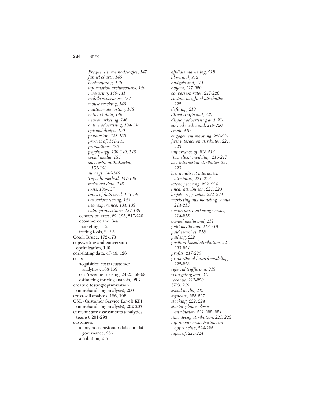*Frequentist methodologies, 147 funnel charts, 146 heatmapping, 146 information architectures, 140 measuring, 140 - 141 mobile experience, 134 mouse tracking, 146 multivariate testing, 148 network data, 146 neuromarketing, 146 online advertising, 134 - 135 optimal design, 150 persuasion, 138 - 139 process of, 141 - 145 promotions, 135 psychology, 139 - 140 , 146 social media, 135 successful optimization, 151 - 153 surveys, 145 - 146 Taguchi method, 147 - 148 technical data, 146 tools, 135 - 137 types of data used, 145 - 146 univariate testing, 148 user experience, 134 , 139 value propositions, 137 - 138*  conversion rates, 62, 125, 217-220 ecommerce and, 3-4 marketing, 112 testing tools, 24-25 Cooil, Bruce, 172-173 copywriting and conversion optimization, 140 correlating data, 47-49, 126 costs acquisition costs (customer analytics), 168-169 cost/revenue tracking, 24-25, 68-69 estimating (pricing analysis), 207 creative testing/optimization (merchandising analysis), 200 cross-sell analysis, 186 , 192 CSL (Customer Service Level) KPI (merchandising analysis), 202-203 current state assessments (analytics teams), 291-293 customers anonymous customer data and data governance, 266 attribution, 217

 *affiliate marketing, 218 blogs and, 219 budgets and, 214 buyers, 217 - 220 conversion rates, 217 - 220 custom-weighted attribution, 222 defining, 213 direct traffic and, 220 display advertising and, 218 earned media and, 219 - 220 email, 219 engagement mapping, 220 - 221 first interaction attributes, 221 , 223 importance of, 213 - 214 " last click" modeling, 215 - 217 last interaction attributes, 221 , 223 last nondirect interaction attributes, 221 , 223 latency scoring, 222 , 224 linear attribution, 221 , 223 logistic regression, 222 , 224 marketing mix-modeling versus, 214 - 215 media mix-marketing versus, 214 - 215 owned media and, 219 paid media and, 218 - 219 paid searches, 218 pathing, 222 position-based attribution, 221 , 223 - 224 profits, 217 - 220 proportional hazard modeling, 222 - 223 referral traffic and, 219 retargeting and, 219 revenue, 217 - 220 SEO, 219 social media, 219 software, 225 - 227 stacking, 222 , 224 starter-player-closer attribution, 221 - 222 , 224 time decay attribution, 221 , 223 top-down versus bottom-up approaches, 224 - 225 types of, 221 - 224*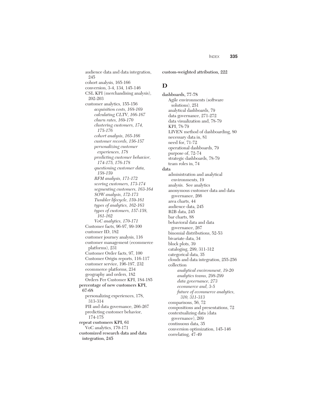audience data and data integration, 245 cohort analysis, 165 - 166 conversion, [3](#page-19-0)-4, 134, 145-146 CSL KPI (merchandising analysis), 202 - 203 customer analytics, 155 - 156  *acquisition costs, 168 - 169 calculating CLTV, 166 - 167 churn rates, 169 - 170 clustering customers, 174 , 175 - 176 cohort analysis, 165 - 166 customer records, 156 - 157 personalizing customer experiences, 178 predicting customer behavior, 174 - 175 , 176 - 178 questioning customer data, 158 - 159 RFM analysis, 171 - 172 scoring customers, 173 - 174 segmenting customers, 163 - 164 SOW analysis, 172 - 173 Tumbler lifecycle, 159 - 161 types of analytics, 162 - 163 types of customers, 157 - 158 , 161 - 162 VoC analytics, 170 - 171*  Customer facts, 96-97, 99-100 customer ID, 182 customer journey analysis, 116 customer management (ecommerce platforms), 231 Customer Order facts, 97 , 100 Customer Origin reports, 116-117 customer service, 196-197, 232 ecommerce platforms, 234 geography and orders, 182 Orders Per Customer KPI, 184-185 percentage of new customers KPI, 67-68 personalizing experiences, 178, 313 - 314 PII and data governance, 266-267 predicting customer behavior, 174 - 175 repeat customers KPI, 61 VoC analytics, 170-171 customized research data and data integration, 245

custom-weighted attribution, 222

#### **D**

dashboards, 77-78 Agile environments (software solutions), 251 analytical dashboards, 79 data governance, 271-272 data visualization and, 78-79 KPI, 78-79 LIVEN method of dashboarding, 80 necessary data in, 81 need for, 71-72 operational dashboards, 79 purpose of, 72-74 strategic dashboards, 78-79 team roles in, 74 data administration and analytical environments, [19](#page--1-0) analysis. See analytics anonymous customer data and data governance, 266 area charts, 44 audience data, 245 B2B data, 245 bar charts, 88 behavioral data and data governance, 267 binomial distributions, 52-53 bivariate data, 34 block plots, 39 cataloging, 299, 311-312 categorical data, 35 clouds and data integration, 255 - 256 collection *analytical environment,* 19-20  *analytics teams, 298 - 299 data governance, 273 ecommerce and, [3](#page-19-0) [- 5](#page-21-0)  future of ecommerce analytics, 310 , 311 - 313*  comparisons, 56, 72 compositions and presentations, 72 contextualizing data (data governance), 269 continuous data, 35 conversion optimization, 145-146 correlating, 47-49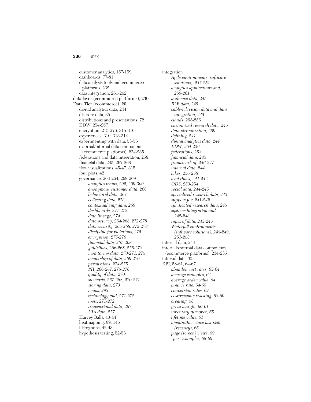customer analytics, 157-159 dashboards, 77-81 data analysis tools and ecommerce platforms, 232 data integration, 261-262 data layer (ecommerce platforms), 230 Data Tier (ecommerce), [20](#page--1-0) digital analytics data, 244 discrete data, 35 distributions and presentations, 72 EDW, 254-257 encryption, 275-276, 315-316 experiences, 310, 313-314 experimenting with data, 53-56 external/internal data components (ecommerce platforms), 234-235 federations and data integration, 258 financial data, 245 , 267 - 268 flow visualizations, 45-47, 315 four plots, 42 governance, 263-264, 268-269  *analytics teams, 292 , 299 - 300 anonymous customer data, 266 behavioral data, 267 collecting data, 273 contextualizing data, 269 dashboards, 271 - 272 data lineage, 274 data privacy, 264 - 268 , 272 - 278 data security, 265 - 268 , 272 - 278 discipline for violations, 275 encryption, 275 - 276 financial data, 267 - 268 guidelines, 266 - 268 , 276 - 278 monitoring data, 270 - 271 , 275 ownership of data, 269 - 270 permissions, 274 - 275 PII, 266 - 267 , 275 - 276 quality of data, 270 stewards, 267 - 268 , 270 - 271 storing data, 273 teams, 293 technology and, 271 - 272 tools, 271 - 272 transactional data, 267 UIA data, 277*  Harvey Balls, 43-44 heatmapping, 89, 146 histograms, 42-43 hypothesis testing, 52-53

 integration  *Agile environments (software solutions), 247 - 251 analytics applications and, 259 - 261 audience data, 245 B2B data, 245 cable/television data and data integration, 245 clouds, 255 - 256 customized research data, 245 data virtualization, 259 defining, 241 digital analytics data, 244 EDW, 254 - 256 federations, 258 financial data, 245 framework of, 246 - 247 internal data, 244 lakes, 256 - 258 lead times, 241 - 242 ODS, 253 - 254 social data, 244 - 245 specialized research data, 245 support for, 241 - 242 syndicated research data, 245 systems integration and, 242 - 243 types of data, 243 - 245 Waterfall environments (software solutions), 248 - 249 , 251 - 253*  internal data, 244 internal/external data components (ecommerce platforms), 234-235 interval data, 35 KPI, 58-61, 64-67  *abandon cart rates, 63 - 64 average examples, 64 average order value, 64 bounce rate, 64 - 65 conversion rates, 62 cost/revenue tracking, 68 - 69 creating, 58 gross margin, 60 - 61 inventory turnover, 65 lifetime value, 61 loyalty/time since last visit (recency), 66 page (screen) views, 59 " per" examples, 68 - 69*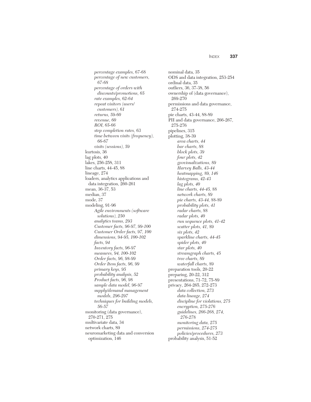*percentage examples, 67 - 68 percentage of new customers, 67 - 68 percentage of orders with discounts/promotions, 65 rate examples, 62 - 64 repeat visitors (users/ customers), 61 returns, 59 - 60 revenue, 60 ROI, 65 - 66 step completion rates, 63 time between visits (frequency), 66 - 67 visits (sessions), 59*  kurtosis, 36 lag plots, 40 lakes, 256-258, 311 line charts, 44-45, 88 lineage, 274 loaders, analytics applications and data integration, 260-261 mean, 36-37, 53 median, 37 mode, 37 modeling, 91-96  *Agile environments (software solutions), 250 analytics teams, 293 Customer facts, 96 - 97 , 99 - 100 Customer Order facts, 97 , 100 dimensions, 94 - 95 , 100 - 102 facts, 94 Inventory facts, 96- 97 measures, 94 , 100 - 102 Order facts, 96 , 98 - 99 Order Item facts, 96 , 99 primary keys, 95 probability analysis, 52 Product facts, 96 , 98 sample data model, 96 - 97 supply/demand management models, 296 - 297 techniques for building models, 56 - 57*  monitoring (data governance), 270 - 271 , 275 multivariate data, 34 network charts, 89 neuromarketing data and conversion optimization, 146

 nominal data, 35 ODS and data integration, 253-254 ordinal data, 35 outliers, 36, 37-38, 56 ownership of (data governance), 269 - 270 permissions and data governance, 274 - 275 pie charts, 43-44, 88-89 PII and data governance, 266-267, 275 - 276 pipelines, 315 plotting, 38-39  *area charts, 44 bar charts, 88 block plots, 39 four plots, 42 geovisualizations, 89 Harvey Balls, 43 - 44 heatmapping, 89 , 146 histograms, 42 - 43 lag plots, 40 line charts, 44 - 45 , 88 network charts, 89 pie charts, 43 - 44 , 88 - 89 probability plots, 41 radar charts, 88 radar plots, 40 run sequence plots, 41-42 scatter plots, 41 , 89 six plots, 42 sparkline charts, 44 - 45 spider plots, 40 star plots, 40 streamgraph charts, 45 tree charts, 89 waterfall charts, 89*  preparation tools, 20-22 preparing, 20-22, 312 presentations, 71-72, 75-89 privacy, 264-265, 272-273  *data collection, 273 data lineage, 274 discipline for violations, 275 encryption, 275 - 276 guidelines, 266 - 268 , 274 , 276 - 278 monitoring data, 275 permissions, 274 - 275 policies/procedures, 273*  probability analysis, 51-52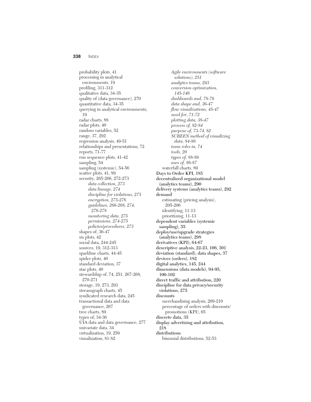probability plots, 41 processing in analytical environments, [19](#page--1-0)  profiling, 311-312 qualitative data, 34-35 quality of (data governance), 270 quantitative data, 34-35 querying in analytical environments,  [19](#page--1-0)  radar charts, 88 radar plots, 40 random variables, 52 range, 37 , 292 regression analysis, 49-51 relationships and presentations, 72 reports, 71 - 77 run sequence plots, 41-42 sampling, 54 sampling (systemic), 54-56 scatter plots, 41, 89 security, 265-266, 272-273  *data collection, 273 data lineage, 274 discipline for violations, 275 encryption, 275 - 276 guidelines, 266 - 268 , 274 , 276 - 278 monitoring data, 275 permissions, 274 - 275 policies/procedures, 273*  shapes of,  $36-47$  six plots, 42 social data, 244-245 sources, 19, 312-313 sparkline charts, 44-45 spider plots, 40 standard deviation, 37 star plots, 40 stewardship of, 74, 251, 267-268, 270 - 271 storage, [19 ,](#page--1-0) 273 , 293 streamgraph charts, 45 syndicated research data, 245 transactional data and data governance, 267 tree charts, 89 types of, 34-36 UIA data and data governance, 277 univariate data, 34 virtualization, [19](#page--1-0), 259 visualization, 81-82

 *Agile environments (software solutions), 251 analytics teams, 293 conversion optimization, 145 - 146 dashboards and, 78 - 79 data shape and, 36 - 47 flow visualizations, 45 - 47 need for, 71 - 72 plotting data, 38 - 47 process of, 82 - 84 purpose of , 73 - 74 , 82 SCREEN method of visualizing data, 84 - 86 team roles in, 74 tools, [20](#page--1-0)  types of, 88 - 89 uses of, 86 - 87*  waterfall charts, 89 Days to Order KPI, 185 decentralized organizational model (analytics teams), 290 delivery systems (analytics teams), 292 demand estimating (pricing analysis), 205- [206](#page-22-0)  identifying, 11-13 prioritizing, 11-13 dependent variables (systemic sampling), 55 deploy/use/upgrade strategies (analytics teams), 298 derivatives (KPI), 64-67 descriptive analysis, 22-23, 106, 301 deviation (standard), data shapes, 37 devices (orders), 182 digital analytics, 145, 244 dimensions (data models), 94-95, 100 - 102 direct traffic and attribution, 220 discipline for data privacy/security violations, 275 discounts merchandising analysis, 209-210 percentage of orders with discounts/ promotions (KPI), 65 discrete data, 35 display advertising and attribution, 218 distributions binomial distributions, 52-53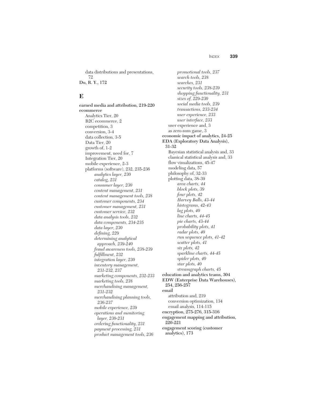data distributions and presentations, 72 Du, R. Y., 172

#### **E**

earned media and attribution, 219-220 ecommerce Analytics Tier, [20](#page--1-0) B2C ecommerce, [2](#page-18-0)  competition, [3](#page-19-0)  conversion, [3](#page-19-0)-4 data collection, [3](#page-19-0)-5 Data Tier, [20](#page--1-0)  growth of,  $1-2$  improvement, need for, [7](#page-23-0)  Integration Tier, [20](#page--1-0)  mobile experience, 2-3 platforms (software), 232, 235-236  *analytics layer, 230 catalog, 231 consumer layer, 230 content management, 231 content management tools, 238 customer components, 234 customer management, 231 customer service, 232 data analysis tools, 232 data components, 234 - 235 data layer, 230 defining, 229 determining analytical approach, 239 - 240 fraud awareness tools, 238 - 239 fulfillment, 232 integration layer, 230 inventory management, 231 - 232 , 237 marketing components, 232 - 233 marketing tools, 238 merchandising management, 231 - 232 merchandising planning tools, 236 - 237 mobile experience, 239 operations and monitoring layer, 230 - 231 ordering functionality, 231 payment processing, 231 product management tools, 236* 

 *promotional tools, 237 search tools, 238 searches, 231 security tools, 238 - 239 shopping functionality, 231 sizes of, 229 - 230 social media tools, 239 transactions, 233 - 234 user experience, 233 user interface, 233*  user experience and, [3](#page-19-0)  as zero-sum game, [3](#page-19-0) economic impact of analytics, 24-25 EDA (Exploratory Data Analysis), 31 - 32 Bayesian statistical analysis and, 33 classical statistical analysis and, 33 flow visualizations, 45-47 modeling data, 57 philosophy of, 32-33 plotting data, 38-39  *area charts, 44 block plots, 39 four plots, 42 Harvey Balls, 43 - 44 histograms, 42 - 43 lag plots, 40 line charts, 44 - 45 pie charts, 43 - 44 probability plots, 41 radar plots, 40 run sequence plots, 41 - 42 scatter plots, 41 six plots, 42 sparkline charts, 44 - 45 spider plots, 40 star plots, 40 streamgraph charts, 45*  education and analytics teams, 304 EDW (Enterprise Data Warehouses), 254, 256-257 email attribution and, 219 conversion optimization, 134 email analysis, 114-115 encryption, 275-276, 315-316 engagement mapping and attribution, 220 - 221 engagement scoring (customer analytics), 173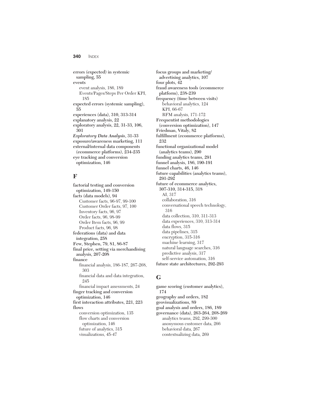errors (expected) in systemic sampling, 55 events event analysis, 186, 189 Events/Pages/Steps Per Order KPI, 185 expected errors (systemic sampling), 55 experiences (data), 310, 313-314 explanatory analysis, [22](#page--1-0)  exploratory analysis, 22, 31-33, 106, 301  *Exploratory Data Analysis*, 31-33 exposure/awareness marketing, 111 external/internal data components (ecommerce platforms), 234-235 eye tracking and conversion optimization, 146

#### **F**

 factorial testing and conversion optimization, 149-150 facts (data models), 94 Customer facts, 96-97, 99-100 Customer Order facts, 97, 100 Inventory facts, 96, 97 Order facts, 96 , 98 - 99 Order Item facts, 96 , 99 Product facts, 96, 98 federations (data) and data integration, 258 Few, Stephen, 79, 81, 86-87 final price, setting via merchandising analysis, 207-208 finance financial analysis, 186-187, 267-268, 303 financial data and data integration, 245 financial impact assessments, [24](#page--1-0)  finger tracking and conversion optimization, 146 first interaction attributes, 221, 223 flows conversion optimization, 135 flow charts and conversion optimization, 146 future of analytics, 315 visualizations, 45-47

 focus groups and marketing/ advertising analytics, 107 four plots, 42 fraud awareness tools (ecommerce platform), 238-239 frequency (time between visits) behavioral analytics, 124 KPI, 66-67 RFM analysis, 171-172 Frequentist methodologies (conversion optimization), 147 Friedman, Vitaly, 82 fulfillment (ecommerce platforms), 232 functional organizational model (analytics teams), 290 funding analytics teams, 291 funnel analysis, 186, 190-191 funnel charts, 46, 146 future capabilities (analytics teams), 291-292 future of ecommerce analytics, 307-310, 314-315, 318 AI, 317 collaboration, 316 conversational speech technology, 316 data collection, 310, 311-313 data experiences, 310, 313-314 data flows, 315 data pipelines, 315 encryption, 315-316 machine learning, 317 natural language searches, 316 predictive analysis, 317 self-service automation, 316 future state architectures, 292-293

#### **G**

 game scoring (customer analytics), 174 geography and orders, 182 geovisualizations, 89 goal analysis and orders, 186 , 189 governance (data), 263-264, 268-269 analytics teams, 292, 299-300 anonymous customer data, 266 behavioral data, 267 contextualizing data, 269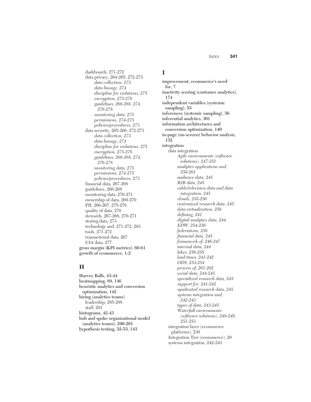dashboards, 271-272 data privacy, 264-265, 272-273  *data collection, 273 data lineage, 274 discipline for violations, 275 encryption, 275 - 276 guidelines, 266 - 268 , 274 , 276 - 278 monitoring data, 275 permissions, 274 - 275 policies/procedures, 273*  data security, 265-266, 272-273  *data collection, 273 data lineage, 274 discipline for violations, 275 encryption, 275 - 276 guidelines, 266 - 268 , 274 , 276 - 278 monitoring data, 275 permissions, 274 - 275 policies/procedures, 273*  financial data, 267-268 guidelines, 266-268 monitoring data, 270-271 ownership of data, 269-270 PII, 266-267, 275-276 quality of data, 270 stewards, 267-268, 270-271 storing data, 273 technology and, 271-272, 293 tools, 271-272 transactional data, 267 UIA data, 277 gross margin (KPI metrics), 60-61 growth of ecommerce,  $1-2$ 

#### **H**

Harvey Balls, 43-44 heatmapping, 89, 146 heuristic analytics and conversion optimization, 142 hiring (analytics teams) leadership, 285-288 staff, 291 histograms, 42-43 hub and spoke organizational model (analytics teams), 290-291 hypothesis testing, 52-53, 143

## **I**

 improvement, ecommerce's need for, [7](#page-23-0)  inactivity scoring (customer analytics), 174 independent variables (systemic sampling), 55 inferences (systemic sampling), 56 inferential analytics, 301 information architectures and conversion optimization, 140 in-page (on-screen) behavior analysis, 132 integration data integration  *Agile environments (software solutions), 247 - 251 analytics applications and, 259 - 261 audience data, 245 [B2](#page-18-0)B data, 245 cable/television data and data integration, 245 clouds, 255 - 256 customized research data, 245 data virtualization, 259 defining, 241 digital analytics data, 244 EDW, 254 - 256 federations, 258 financial data, 245 framework of, 246 - 247 internal data, 244 lakes, 256 - 258 lead times, 241 - 242 ODS, 253 - 254 process of, 261 - 262 social data, 244 - 245 specialized research data, 245 support for, 241 - 242 syndicated research data, 245 systems integration and, 242 - 243 types of data, 243 - 245 Waterfall environments (software solutions), 248 - 249 , 251 - 253*  integration layer (ecommerce platforms), 230 Integration Tier (ecommerce), [20](#page--1-0)  systems integration, 242-243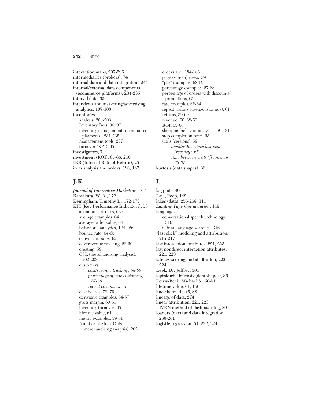interaction maps, 295-296 intermediaries (brokers), 74 internal data and data integration, 244 internal/external data components (ecommerce platforms), 234-235 interval data, 35 interviews and marketing/advertising analytics, 107-108 inventories analysis, 200-203 Inventory facts, 96, 97 inventory management (ecommerce platforms), 231-232 management tools, 237 turnover (KPI), 65 investigators, 74 investment (ROI), 65-66, 210 IRR (Internal Rate of Return), [25](#page--1-0)  item analysis and orders, 186, 187

#### **J-K**

 *Journal of Interactive Marketing*, 167 Kamakura, W. A., 172 Keiningham, Timothy L., 172-173 KPI (Key Performance Indicators), 58 abandon cart rates, 63-64 average examples, 64 average order value, 64 behavioral analytics, 124 - 126 bounce rate, 64-65 conversion rates, 62 cost/revenue tracking, 68-69 creating, 58 CSL (merchandising analysis), 202 - 203 customers  *cost/revenue tracking, 68 - 69 percentage of new customers, 67 - 68 repeat customers, 61*  dashboards, 78 , 79 derivative examples, 64-67 gross margin, 60-61 inventory turnover, 65 lifetime value, 61 metric examples, 59-61 Number of Stock Outs (merchandising analysis), 202

orders and, 184-186 page (screen) views, 59 per" examples, 68-69 percentage examples, 67 - 68 percentage of orders with discounts/ promotions, 65 rate examples, 62-64 repeat visitors (users/customers), 61 returns, 59-60 revenue, 60, 68-69 ROI, 65-66 shopping behavior analysis, 130-131 step completion rates, 63 visits (sessions), 59  *loyalty/time since last visit (recency), 66 time between visits (frequency), 66 - 67*  kurtosis (data shapes), 36

#### $\mathbf{L}$

 lag plots, 40 Laja, Peep, 142 lakes (data), 256-258, 311  *Landing Page Optimization* , 149 languages conversational speech technology, 316 natural language searches, 316 "last click" modeling and attribution, 215 - 217 last interaction attributes, 221, 223 last nondirect interaction attributes, 221 , 223 latency scoring and attribution, 222, 224 Leek, Dr. Jeffrey, 301 leptokurtic kurtosis (data shapes), 36 Lewis-Beck, Michael S., 50-51 lifetime value, 61, 166 line charts, 44-45, 88 lineage of data, 274 linear attribution, 221, 223 LIVEN method of dashboarding, 80 loaders (data) and data integration, 260 - 261 logistic regression, 51, 222, 224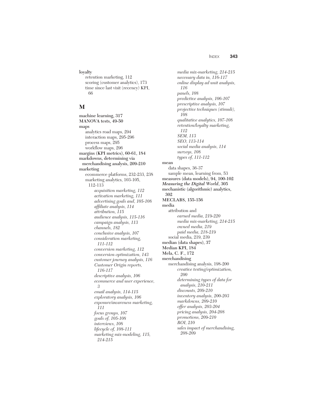loyalty retention marketing, 112 scoring (customer analytics), 173 time since last visit (recency) KPI, 66

#### **M**

 machine learning, 317 MANOVA tests, 49-50 maps analytics road maps, 294 interaction maps, 295-296 process maps, 295 workflow maps, 296 margins (KPI metrics),  $60-61$ ,  $184$  markdowns, determining via merchandising analysis, 209-210 marketing ecommerce platforms, 232-233, 238 marketing analytics, 103-105, 112 - 113  *acquisition marketing, 112 activation marketing, 111 advertising goals and, 105 - 108 affiliate analysis, 114 attribution, 115 audience analysis, 115 - 116 campaign analysis, 113 channels, 182 conclusive analysis, 107 consideration marketing, 111 - 112 conversion marketing, 112 conversion optimization, 143 customer journey analysis, 116 Customer Origin reports, 116 - 117 descriptive analysis, 106 ecommerce and user experience,  [3](#page-19-0)  email analysis, 114 - 115 exploratory analysis, 106 exposure/awareness marketing, 111 focus groups, 107 goals of, 105 - 108 interviews, 108 lifecycle of, 108 - 111 marketing mix-modeling, 115 , 214 - 215* 

 *media mix-marketing, 214 - 215 necessary data in, 116 - 117 online display ad unit analysis, 116 panels, 108 predictive analysis, 106 - 107 prescriptive analysis, 107 projective techniques (stimuli), 108 qualitative analytics, 107 - 108 retention/loyalty marketing, 112 SEM, 113 SEO, 113 - 114 social media analysis, 114 surveys, 108 types of, 111 - 112*  mean data shapes, 36-37 sample mean, learning from, 53 measures (data models), 94, 100-102 *Measuring the Digital World*, 305 mechanistic (algorithmic) analytics, 302 MECLABS, 155-156 media attribution and  *earned media, 219 - 220 media mix-marketing, 214 - 215 owned media, 219 paid media, 218 - 219*  social media, 219, 239 median (data shapes), 37 Median KPI, 184 Mela, C. F., 172 merchandising merchandising analysis, 198-200  *creative testing/optimization, 200 determining types of data for analysis, 210 - 211 discounts, 209 - 210 inventory analysis, 200 - 203 markdowns, 209 - 210 offer analysis, 203 - 204 pricing analysis, 204 - 208 promotions, 209 - 210 ROI, 210 sales impact of merchandising, 208 - 209*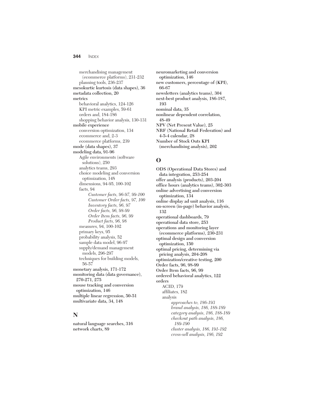merchandising management (ecommerce platforms), 231-232 planning tools, 236-237 mesokurtic kurtosis (data shapes), 36 metadata collection, [20](#page--1-0)  metrics behavioral analytics, 124 - 126 KPI metric examples, 59-61 orders and, 184-186 shopping behavior analysis, 130-131 mobile experience conversion optimization, 134 ecommerce and, 2-3 ecommerce platforms, 239 mode (data shapes), 37 modeling data, 91-96 Agile environments (software solutions), 250 analytics teams, 293 choice modeling and conversion optimization, 148 dimensions, 94-95, 100-102 facts, 94  *Customer facts, 96 - 97 , 99 - 100 Customer Order facts, 97 , 100 Inventory facts, 96 , 97 Order facts, 96 , 98 - 99 Order Item facts, 96 , 99 Product facts, 96 , 98*  measures, 94, 100-102 primary keys, 95 probability analysis, 52 sample data model, 96-97 supply/demand management models, 296-297 techniques for building models, 56-57 monetary analysis, 171-172 monitoring data (data governance), 270-271, 275 mouse tracking and conversion optimization, 146 multiple linear regression, 50-51 multivariate data, 34 , 148

#### **N**

 natural language searches, 316 network charts, 89

 neuromarketing and conversion optimization, 146 new customers, percentage of (KPI), 66-67 newsletters (analytics teams), 304 next-best product analysis, 186-187, 193 nominal data, 35 nonlinear dependent correlation, 48 - 49 NPV (Net Present Value), [25](#page--1-0) NRF (National Retail Federation) and 4-5-4 calendar, 28 Number of Stock Outs KPI (merchandising analysis), 202

#### **O**

 ODS (Operational Data Stores) and data integration, 253-254 offer analysis (products), 203-204 office hours (analytics teams), 302-303 online advertising and conversion optimization, 134 online display ad unit analysis, 116 on-screen (in-page) behavior analysis, 132 operational dashboards, 79 operational data store, 253 operations and monitoring layer (ecommerce platforms), 230-231 optimal design and conversion optimization, 150 optimal pricing, determining via pricing analysis, 204-208 optimization/creative testing, 200 Order facts, 96 , 98 - 99 Order Item facts, 96 , 99 ordered behavioral analytics, 122 orders ACID, 179 affiliates, 182 analysis  *approaches to, 186 - 193 brand analysis, 186 , 188 - 189 category analysis, 186 , 188 - 189 checkout path analysis, 186 , 189 - 190 cluster analysis, 186 , 191 - 192 cross-sell analysis, 186 , 192*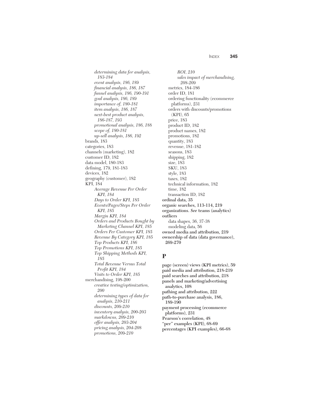*determining data for analysis, 183 - 184 event analysis, 186 , 189 financial analysis, 186 , 187 funnel analysis, 186 , 190 - 191 goal analysis, 186 , 189 importance of, 180 - 181 item analysis, 186 , 187 next-best product analysis, 186 - 187 , 193 promotional analysis, 186 , 188 scope of, 180 - 181 up-sell analysis, 186 , 192*  brands, 183 categories, 183 channels (marketing), 182 customer ID, 182 data model, 180-183 defining, 179, 181-183 devices, 182 geography (customer), 182 KPI, 184  *Average Revenue Per Order KPI, 184 Days to Order KPI, 185 Events/Pages/Steps Per Order KPI, 185 Margin KPI, 184 Orders and Products Bought by Marketing Channel KPI, 185 Orders Per Customer KPI, 185 Revenue By Category KPI, 185 Top Products KPI, 186 Top Promotions KPI, 185 Top Shipping Methods KPI, 185 Total Revenue Versus Total Profit KPI, 184 Visits to Order KPI, 185*  merchandising, 198-200  *creative testing/optimization, 200 determining types of data for analysis, 210 - 211 discounts, 209 - 210 inventory analysis, 200 - 203 markdowns, 209 - 210 offer analysis, 203 - 204 pricing analysis, 204 - 208 promotions, 209 - 210* 

 *ROI, 210 sales impact of merchandising, 208 - 209*  metrics, 184-186 order ID, 181 ordering functionality (ecommerce platforms), 231 orders with discounts/promotions (KPI), 65 price, 183 product ID, 182 product names, 182 promotions, 182 quantity, 183 revenue, 181-182 seasons, 183 shipping, 182 size, 183 SKU, 183 style, 183 taxes, 182 technical information, 182 time, 182 transaction ID, 182 ordinal data, 35 organic searches, 113-114, 219 organizations. *See* teams (analytics) outliers data shapes, 36, 37-38 modeling data, 56 owned media and attribution, 219 ownership of data (data governance), 269 - 270

#### **P**

 page (screen) views (KPI metrics), 59 paid media and attribution, 218-219 paid searches and attribution, 218 panels and marketing/advertising analytics, 108 pathing and attribution, 222 path-to-purchase analysis, 186 , 189 - 190 payment processing (ecommerce platforms), 231 Pearson's correlation, 48 "per" examples (KPI), 68-69 percentages (KPI examples), 66-68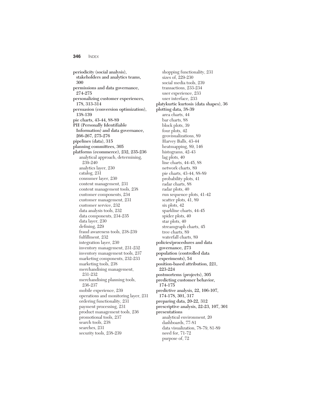periodicity (social analysis), stakeholders and analytics teams, 300 permissions and data governance, 274 - 275 personalizing customer experiences, 178 , 313 - 314 persuasion (conversion optimization), 138 - 139 pie charts, 43-44, 88-89 PII (Personally Identifiable Information) and data governance, 266-267, 275-276 pipelines (data), 315 planning committees, 305 platforms (ecommerce), 232, 235-236 analytical approach, determining, 239 - 240 analytics layer, 230 catalog, 231 consumer layer, 230 content management, 231 content management tools, 238 customer components, 234 customer management, 231 customer service, 232 data analysis tools, 232 data components, 234-235 data layer, 230 defining, 229 fraud awareness tools, 238-239 fulfillment, 232 integration layer, 230 inventory management, 231-232 inventory management tools, 237 marketing components, 232-233 marketing tools, 238 merchandising management, 231 - 232 merchandising planning tools, 236 - 237 mobile experience, 239 operations and monitoring layer, 231 ordering functionality, 231 payment processing, 231 product management tools, 236 promotional tools, 237 search tools, 238 searches, 231 security tools, 238-239

 shopping functionality, 231 sizes of, 229-230 social media tools, 239 transactions, 233-234 user experience, 233 user interface, 233 platykurtic kurtosis (data shapes), 36 plotting data, 38-39 area charts, 44 bar charts, 88 block plots, 39 four plots, 42 geovisualizations, 89 Harvey Balls, 43 - 44 heatmapping, 89, 146 histograms, 42-43 lag plots, 40 line charts, 44-45, 88 network charts, 89 pie charts, 43-44, 88-89 probability plots, 41 radar charts, 88 radar plots, 40 run sequence plots, 41-42 scatter plots, 41, 89 six plots, 42 sparkline charts, 44-45 spider plots, 40 star plots, 40 streamgraph charts, 45 tree charts, 89 waterfall charts, 89 policies/procedures and data governance, 273 population (controlled data experiments), 54 position-based attribution, 221, 223 - 224 postmortems (projects), 305 predicting customer behavior, 174 - 175 predictive analysis, 22, 106-107, 174-178, 301, 317 preparing data, 20-22, 312 prescriptive analysis, 22-23, 107, 301 presentations analytical environment, [20](#page--1-0)  dashboards, 77-81 data visualization, 78-79, 81-89 need for, 71-72 purpose of, 72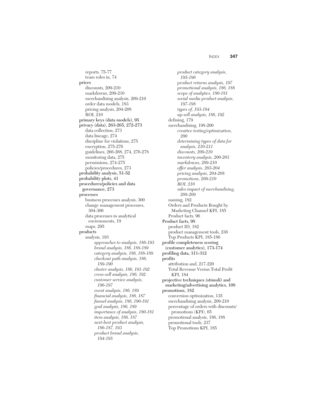reports, 75-77 team roles in, 74 prices discounts, 209-210 markdowns, 209-210 merchandising analysis, 209-210 order data models, 183 pricing analysis, 204-208 ROI, 210 primary keys (data models), 95 privacy (data), 263-265, 272-273 data collection, 273 data lineage, 274 discipline for violations, 275 encryption, 275-276 guidelines, 266-268, 274, 276-278 monitoring data, 275 permissions, 274-275 policies/procedures, 273 probability analysis, 51-52 probability plots, 41 procedures/policies and data governance, 273 processes business processes analysis, 300 change management processes, 304 - 306 data processes in analytical environments, [19](#page--1-0)  maps, 295 products analysis, 193  *approaches to analysis, 186 - 193 brand analysis, 186 , 188 - 189 category analysis, 186 , 188 - 189 checkout path analysis, 186 , 189 - 190 cluster analysis, 186 , 191 - 192 cross-sell analysis, 186 , 192 customer service analysis, 196 - 197 event analysis, 186 , 189 financial analysis, 186 , 187 funnel analysis, 186 , 190 - 191 goal analysis, 186 , 189 importance of analysis, 180 - 181 item analysis, 186 , 187 next-best product analysis, 186 - 187 , 193 product brand analysis, 194 - 195* 

 *product category analysis, 195 - 196 product returns analysis, 197 promotional analysis, 186 , 188 scope of analytics, 180 - 181 social media product analysis, 197 - 198 types of, 193 - 194 up-sell analysis, 186 , 192*  defining, 179 merchandising, 198-200  *creative testing/optimization, 200 determining types of data for analysis, 210 - 211 discounts, 209 - 210 inventory analysis, 200 - 203 markdowns, 209 - 210 offer analysis, 203 - 204 pricing analysis, 204 - 208 promotions, 209 - 210 ROI, 210 sales impact of merchandising, 208 - 209*  naming, 182 Orders and Products Bought by Marketing Channel KPI, 185 Product facts, 96 Product facts, 98 product ID, 182 product management tools, 236 Top Products KPI, 185-186 profile completeness scoring (customer analytics), 173 - 174 profiling data, 311-312 profits attribution and, 217-220 Total Revenue Versus Total Profit KPI, 184 projective techniques (stimuli) and marketing/advertising analytics, 108 promotions, 182 conversion optimization, 135 merchandising analysis, 209-210 percentage of orders with discounts/ promotions (KPI), 65 promotional analysis, 186 , 188 promotional tools, 237 Top Promotions KPI, 185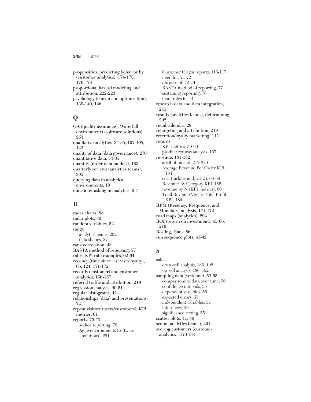propensities, predicting behavior by (customer analytics), 174-175, 176 - 178 proportional hazard modeling and attribution, 222-223 psychology (conversion optimization), 139-140, 146

## **Q**

 QA (quality assurance), Waterfall environments (software solutions), 253 qualitative analytics, 34-35, 107-108, 143 quality of data (data governance), 270 quantitative data, 34-35 quantity (order data models), 183 quarterly reviews (analytics teams), 305 querying data in analytical environments, [19](#page--1-0) questions, asking in analytics, 6-7

#### **R**

 radar charts, 88 radar plots, 40 random variables, 52 range analytics teams, 292 data shapes, 37 rank correlation, 48 RASTA method of reporting, 77 rates, KPI rate examples, 62-64 recency (time since last visit/loyalty), 66 , 124 , 171 - 172 records (customer) and customer analytics, 156-157 referral traffic and attribution, 219 regression analysis, 49-51 regular histograms, 42 relationships (data) and presentations, 72 repeat visitors (users/customers), KPI metrics, 61 reports, 75-77 ad hoc reporting, 76 Agile environments (software solutions), 251

Customer Origin reports, 116-117 need for, 71-72 purpose of, 72-74 RASTA method of reporting, 77 sustaining reporting, 76 team roles in, 74 research data and data integration, 245 results (analytics teams), determining, 292 retail calendar, 28 retargeting and attribution, 219 retention/loyalty marketing, 112 returns KPI metrics, 59-60 product returns analysis, 197 revenue, 181-182 attribution and, 217-220 Average Revenue Per Order KPI, 184 cost tracking and, 24-25, 68-69 Revenue By Category KPI, 185 revenue by N (KPI metrics), 60 Total Revenue Versus Total Profit KPI, 184 RFM (Recency, Frequency, and Monetary) analysis, 171-172 road maps (analytics), 294 ROI (return on investment), 65-66, 210 Rosling, Hans, 86 run sequence plots, 41-42

#### **S**

 sales cross-sell analysis, 186 , 192 up-sell analysis, 186 , 192 sampling data (systemic), 53-55 comparisons of data over time, 56 confidence intervals, 55 dependent variables, 55 expected errors, 55 independent variables, 55 inferences, 56 significance testing, 55 scatter plots, 41, 89 scope (analytics teams), 291 scoring customers (customer analytics), 173 - 174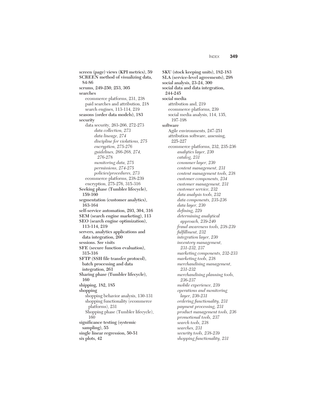screen (page) views (KPI metrics), 59 SCREEN method of visualizing data, 84 - 86 scrums, 249-250, 253, 305 searches ecommerce platforms, 231, 238 paid searches and attribution, 218 search engines, 113-114, 219 seasons (order data models), 183 security data security, 263-266, 272-273  *data collection, 273 data lineage, 274 discipline for violations, 275 encryption, 275 - 276 guidelines, 266 - 268 , 274 , 276 - 278 monitoring data, 275 permissions, 274 - 275 policies/procedures, 273*  ecommerce platforms, 238-239 encryption, 275-276, 315-316 Seeking phase (Tumbler lifecycle), 159 - 160 segmentation (customer analytics), 163 - 164 self-service automation, 293, 304, 316 SEM (search engine marketing), 113 SEO (search engine optimization), 113-114, 219 servers, analytics applications and data integration, 260 sessions. *See* visits SFE (secure function evaluation), 315 - 316 SFTP (SSH file transfer protocol), batch processing and data integration, 261 Sharing phase (Tumbler lifecycle), 160 shipping, 182, 185 shopping shopping behavior analysis, 130-131 shopping functionality (ecommerce platforms), 231 Shopping phase (Tumbler lifecycle), 160 significance testing (systemic sampling), 55 single linear regression, 50-51 six plots, 42

 SKU (stock keeping units), 182 - 183 SLA (service-level agreements), 298 social analysis, 23-24, 300 social data and data integration, 244-245 social media attribution and, 219 ecommerce platforms, 239 social media analysis, 114, 135, 197 - 198 software Agile environments, 247-251 attribution software, assessing, 225 - 227 ecommerce platforms, 232, 235-236  *analytics layer, 230 catalog, 231 consumer layer, 230 content management, 231 content management tools, 238 customer components, 234 customer management, 231 customer service, 232 data analysis tools, 232 data components, 235 - 236 data layer, 230 defining, 229 determining analytical approach, 239 - 240 fraud awareness tools, 238 - 239 fulfillment, 232 integration layer, 230 inventory management, 231 - 232 , 237 marketing components, 232 - 233 marketing tools, 238 merchandising management, 231 - 232 merchandising planning tools, 236 - 237 mobile experience, 239 operations and monitoring layer, 230 - 231 ordering functionality, 231 payment processing, 231 product management tools, 236 promotional tools, 237 search tools, 238 searches, 231 security tools, 238 - 239 shopping functionality, 231*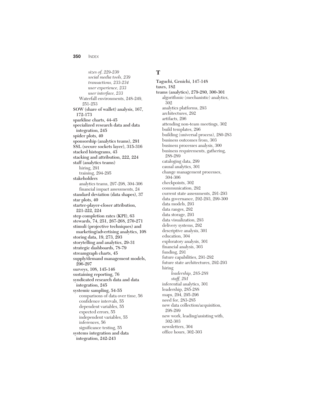*sizes of, 229 - 230 social media tools, 239 transactions, 233 - 234 user experience, 233 user interface, 233*  Waterfall environments, 248-249, 251 - 253 SOW (share of wallet) analysis, 167, 172 - 173 sparkline charts, 44-45 specialized research data and data integration, 245 spider plots, 40 sponsorship (analytics teams), 291 SSL (secure sockets layer), 315-316 stacked histograms, 43 stacking and attribution, 222 , 224 staff (analytics teams) hiring, 291 training, 294-295 stakeholders analytics teams, 297-298, 304-306 financial impact assessments, [24](#page--1-0)  standard deviation (data shapes), 37 star plots, 40 starter-player-closer attribution, 221-222, 224 step completion rates (KPI), 63 stewards, 74, 251, 267-268, 270-271 stimuli (projective techniques) and marketing/advertising analytics, 108 storing data, 19, 273, 293 storytelling and analytics, 29-31 strategic dashboards, 78-79 streamgraph charts, 45 supply/demand management models, 296 - 297 surveys, 108, 145-146 sustaining reporting, 76 syndicated research data and data integration, 245 systemic sampling, 54-55 comparisons of data over time, 56 confidence intervals, 55 dependent variables, 55 expected errors, 55 independent variables, 55 inferences, 56 significance testing, 55 systems integration and data integration, 242-243

#### **T**

 Taguchi, Genichi, 147 - 148 taxes, 182 teams (analytics), 279-280, 300-301 algorithmic (mechanistic) analytics, 302 analytics platforms, 293 architectures, 292 artifacts, 296 attending non-team meetings, 302 build templates, 296 building (universal process), 280-283 business outcomes from, 303 business processes analysis, 300 business requirements, gathering, 288 - 289 cataloging data, 299 causal analytics, 301 change management processes, 304 - 306 checkpoints, 302 communication, 292 current state assessments, 291-293 data governance, 292-293, 299-300 data models, 293 data ranges, 292 data storage, 293 data visualization, 293 delivery systems, 292 descriptive analysis, 301 education, 304 exploratory analysis, 301 financial analysis, 303 funding, 291 future capabilities, 291-292 future state architectures, 292-293 hiring  *leadership, 285 - 288 staff, 291*  inferential analytics, 301 leadership, 285-288 maps, 294, 295-296 need for, 283-285 new data collection/acquisition, 298 - 299 new work, leading/assisting with, 302 - 303 newsletters, 304 office hours, 302-303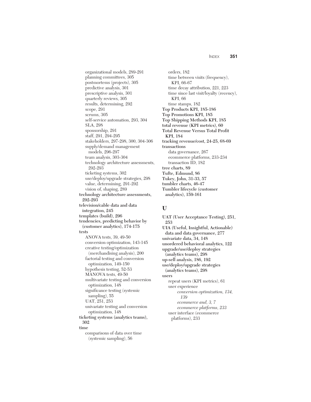organizational models, 289-291 planning committees, 305 postmortems (projects), 305 predictive analysis, 301 prescriptive analysis, 301 quarterly reviews, 305 results, determining, 292 scope, 291 scrums, 305 self-service automation, 293, 304 SLA, 298 sponsorship, 291 staff, 291, 294-295 stakeholders, 297-298, 300, 304-306 supply/demand management models, 296-297 team analysis, 303-304 technology architecture assessments, 292 - 293 ticketing systems, 302 use/deploy/upgrade strategies, 298 value, determining, 291-292 vision of, shaping, 289 technology architecture assessments, 292 - 293 television/cable data and data integration, 245 templates (build), 296 tendencies, predicting behavior by (customer analytics), 174-175 tests ANOVA tests, 39, 49-50 conversion optimization, 143-145 creative testing/optimization (merchandising analysis), 200 factorial testing and conversion optimization, 149-150 hypothesis testing, 52-53 MANOVA tests, 49-50 multivariate testing and conversion optimization, 148 significance testing (systemic sampling), 55 UAT, 251, 253 univariate testing and conversion optimization, 148 ticketing systems (analytics teams), 302 time comparisons of data over time (systemic sampling), 56

 orders, 182 time between visits (frequency), KPI, 66-67 time decay attribution, 221, 223 time since last visit/loyalty (recency), KPI, 66 time stamps, 182 Top Products KPI, 185-186 Top Promotions KPI, 185 Top Shipping Methods KPI, 185 total revenue (KPI metrics), 60 Total Revenue Versus Total Profit KPI, 184 tracking revenue/cost, 24-25, 68-69 transactions data governance, 267 ecommerce platforms, 233-234 transaction ID, 182 tree charts, 89 Tufte, Edmund, 86 Tukey, John, 31-33, 57 tumbler charts, 46-47 Tumbler lifecycle (customer analytics), 159 - 161

#### **U**

 UAT (User Acceptance Testing), 251 , 253 UIA (Useful, Insightful, Actionable) data and data governance, 277 univariate data, 34, 148 unordered behavioral analytics, 122 upgrade/use/deploy strategies (analytics teams), 298 up-sell analysis, 186 , 192 use/deploy/upgrade strategies (analytics teams), 298 users repeat users (KPI metrics), 61 user experience  *conversion optimization, 134 , 139 ecommerce and, [3](#page-19-0) , [7](#page-23-0) ecommerce platforms, 233*  user interface (ecommerce platforms), 233